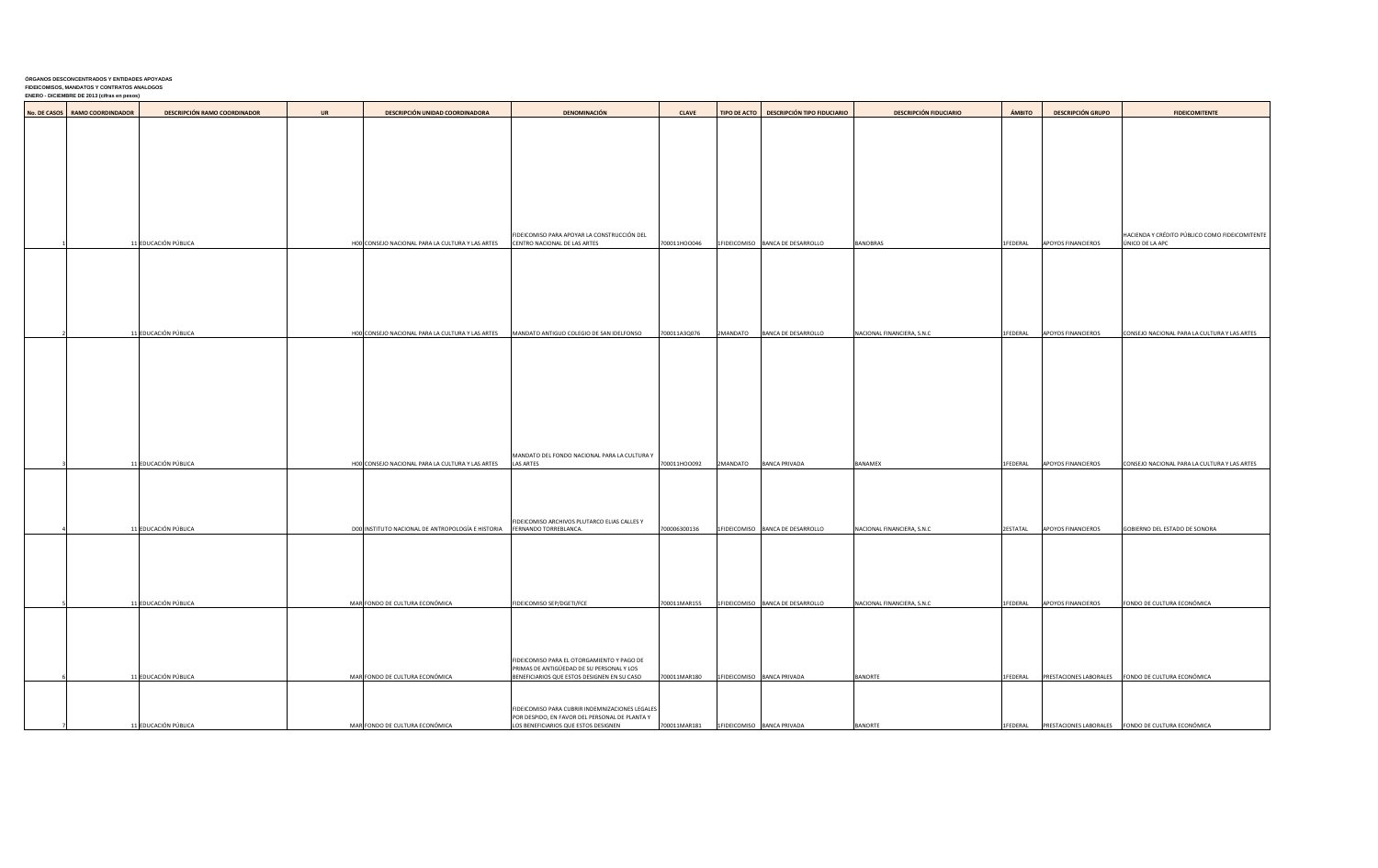## **ÓRGANOS DESCONCENTRADOS Y ENTIDADES APOYADAS FIDEICOMISOS, MANDATOS Y CONTRATOS ANALOGOS**

**ENERO - DICIEMBRE DE 2013 (cifras en pesos)**

| No. DE CASOS   RAMO COORDINDADOR | <b>DESCRIPCIÓN RAMO COORDINADOR</b> | <b>UR</b> | <b>DESCRIPCIÓN UNIDAD COORDINADORA</b>            | <b>DENOMINACIÓN</b>                                                                     | <b>CLAVE</b> |                              | TIPO DE ACTO   DESCRIPCIÓN TIPO FIDUCIARIO | <b>DESCRIPCIÓN FIDUCIARIO</b> | <b>ÁMBITO</b> | <b>DESCRIPCIÓN GRUPO</b>  | <b>FIDEICOMITENTE</b>                                             |
|----------------------------------|-------------------------------------|-----------|---------------------------------------------------|-----------------------------------------------------------------------------------------|--------------|------------------------------|--------------------------------------------|-------------------------------|---------------|---------------------------|-------------------------------------------------------------------|
|                                  |                                     |           |                                                   |                                                                                         |              |                              |                                            |                               |               |                           |                                                                   |
|                                  |                                     |           |                                                   |                                                                                         |              |                              |                                            |                               |               |                           |                                                                   |
|                                  |                                     |           |                                                   |                                                                                         |              |                              |                                            |                               |               |                           |                                                                   |
|                                  |                                     |           |                                                   |                                                                                         |              |                              |                                            |                               |               |                           |                                                                   |
|                                  |                                     |           |                                                   |                                                                                         |              |                              |                                            |                               |               |                           |                                                                   |
|                                  |                                     |           |                                                   |                                                                                         |              |                              |                                            |                               |               |                           |                                                                   |
|                                  | 11 EDUCACIÓN PÚBLICA                |           | HOO CONSEJO NACIONAL PARA LA CULTURA Y LAS ARTES  | FIDEICOMISO PARA APOYAR LA CONSTRUCCIÓN DEL<br>CENTRO NACIONAL DE LAS ARTES             | 700011HOO046 |                              | 1FIDEICOMISO BANCA DE DESARROLLO           | <b>BANOBRAS</b>               | 1FEDERAL      | <b>APOYOS FINANCIEROS</b> | HACIENDA Y CRÉDITO PÚBLICO COMO FIDEICOMITENTE<br>ÚNICO DE LA APC |
|                                  |                                     |           |                                                   |                                                                                         |              |                              |                                            |                               |               |                           |                                                                   |
|                                  |                                     |           |                                                   |                                                                                         |              |                              |                                            |                               |               |                           |                                                                   |
|                                  |                                     |           |                                                   |                                                                                         |              |                              |                                            |                               |               |                           |                                                                   |
|                                  |                                     |           |                                                   |                                                                                         |              |                              |                                            |                               |               |                           |                                                                   |
|                                  | 11 EDUCACIÓN PÚBLICA                |           | HOO CONSEJO NACIONAL PARA LA CULTURA Y LAS ARTES  | MANDATO ANTIGUO COLEGIO DE SAN IDELFONSO                                                | 700011A3Q076 | 2MANDATO                     | BANCA DE DESARROLLO                        | NACIONAL FINANCIERA, S.N.C    | 1FEDERAL      | <b>APOYOS FINANCIEROS</b> | CONSEJO NACIONAL PARA LA CULTURA Y LAS ARTES                      |
|                                  |                                     |           |                                                   |                                                                                         |              |                              |                                            |                               |               |                           |                                                                   |
|                                  |                                     |           |                                                   |                                                                                         |              |                              |                                            |                               |               |                           |                                                                   |
|                                  |                                     |           |                                                   |                                                                                         |              |                              |                                            |                               |               |                           |                                                                   |
|                                  |                                     |           |                                                   |                                                                                         |              |                              |                                            |                               |               |                           |                                                                   |
|                                  |                                     |           |                                                   |                                                                                         |              |                              |                                            |                               |               |                           |                                                                   |
|                                  |                                     |           |                                                   |                                                                                         |              |                              |                                            |                               |               |                           |                                                                   |
|                                  | 11 EDUCACIÓN PÚBLICA                |           | H00 CONSEJO NACIONAL PARA LA CULTURA Y LAS ARTES  | MANDATO DEL FONDO NACIONAL PARA LA CULTURA Y<br><b>LAS ARTES</b>                        | 700011HOO092 | 2MANDATO                     | <b>BANCA PRIVADA</b>                       | <b>BANAMEX</b>                | 1FEDERAL      | <b>APOYOS FINANCIEROS</b> | CONSEJO NACIONAL PARA LA CULTURA Y LAS ARTES                      |
|                                  |                                     |           |                                                   |                                                                                         |              |                              |                                            |                               |               |                           |                                                                   |
|                                  |                                     |           |                                                   |                                                                                         |              |                              |                                            |                               |               |                           |                                                                   |
|                                  |                                     |           |                                                   | FIDEICOMISO ARCHIVOS PLUTARCO ELIAS CALLES Y                                            |              |                              |                                            |                               |               |                           |                                                                   |
|                                  | 11 EDUCACIÓN PÚBLICA                |           | DOO INSTITUTO NACIONAL DE ANTROPOLOGÍA E HISTORIA | <b>FERNANDO TORREBLANCA.</b>                                                            | 700006300136 |                              | 1FIDEICOMISO BANCA DE DESARROLLO           | NACIONAL FINANCIERA, S.N.C    | 2ESTATAL      | <b>APOYOS FINANCIEROS</b> | GOBIERNO DEL ESTADO DE SONORA                                     |
|                                  |                                     |           |                                                   |                                                                                         |              |                              |                                            |                               |               |                           |                                                                   |
|                                  |                                     |           |                                                   |                                                                                         |              |                              |                                            |                               |               |                           |                                                                   |
|                                  |                                     |           |                                                   |                                                                                         |              |                              |                                            |                               |               |                           |                                                                   |
|                                  | 11 EDUCACIÓN PÚBLICA                |           | MAR FONDO DE CULTURA ECONÓMICA                    | FIDEICOMISO SEP/DGETI/FCE                                                               | 700011MAR155 |                              | 1FIDEICOMISO   BANCA DE DESARROLLO         | NACIONAL FINANCIERA, S.N.C    | 1FEDERAL      | <b>APOYOS FINANCIEROS</b> | FONDO DE CULTURA ECONÓMICA                                        |
|                                  |                                     |           |                                                   |                                                                                         |              |                              |                                            |                               |               |                           |                                                                   |
|                                  |                                     |           |                                                   |                                                                                         |              |                              |                                            |                               |               |                           |                                                                   |
|                                  |                                     |           |                                                   | FIDEICOMISO PARA EL OTORGAMIENTO Y PAGO DE<br>PRIMAS DE ANTIGÜEDAD DE SU PERSONAL Y LOS |              |                              |                                            |                               |               |                           |                                                                   |
|                                  | 11 EDUCACIÓN PÚBLICA                |           | MAR FONDO DE CULTURA ECONÓMICA                    | BENEFICIARIOS QUE ESTOS DESIGNEN EN SU CASO                                             | 700011MAR180 |                              | 1FIDEICOMISO BANCA PRIVADA                 | <b>BANORTE</b>                |               |                           | 1FEDERAL PRESTACIONES LABORALES FONDO DE CULTURA ECONÓMICA        |
|                                  |                                     |           |                                                   | FIDEICOMISO PARA CUBRIR INDEMNIZACIONES LEGALES                                         |              |                              |                                            |                               |               |                           |                                                                   |
|                                  | 11 EDUCACIÓN PÚBLICA                |           | MAR FONDO DE CULTURA ECONÓMICA                    | POR DESPIDO, EN FAVOR DEL PERSONAL DE PLANTA Y<br>LOS BENEFICIARIOS QUE ESTOS DESIGNEN  | 700011MAR181 | 1FIDEICOMISO   BANCA PRIVADA |                                            | <b>BANORTE</b>                |               |                           | 1FEDERAL PRESTACIONES LABORALES FONDO DE CULTURA ECONÓMICA        |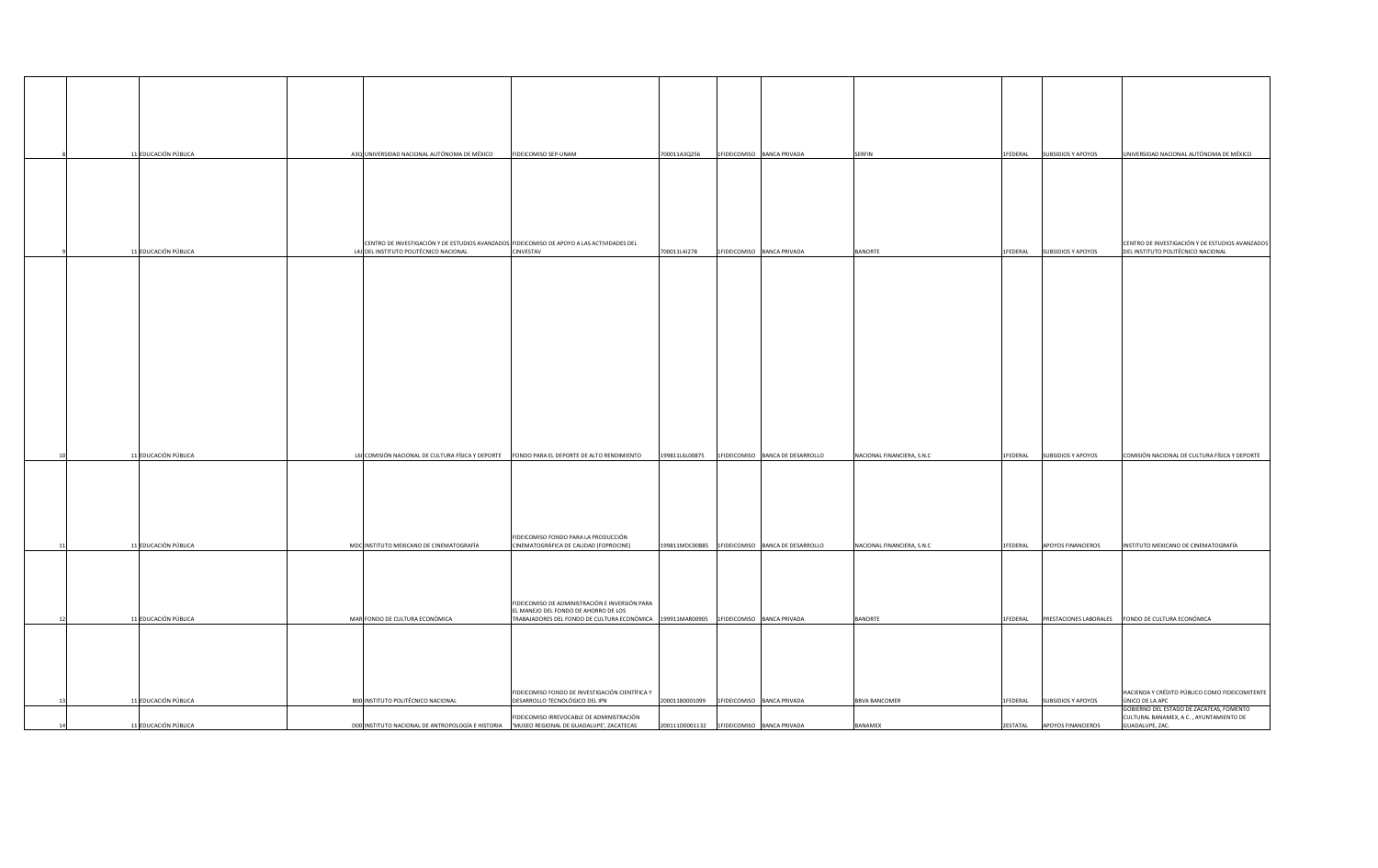|    | 11 EDUCACIÓN PÚBLICA | A3Q UNIVERSIDAD NACIONAL AUTÓNOMA DE MÉXICO                                                                                          | FIDEICOMISO SEP-UNAM                                                                                                          | 700011A3Q256   | 1FIDEICOMISO BANCA PRIVADA                      | <b>SERFIN</b>              | 1FEDERAL SUBSIDIOS Y APOYOS                                  | UNIVERSIDAD NACIONAL AUTÓNOMA DE MÉXICO                                                                       |
|----|----------------------|--------------------------------------------------------------------------------------------------------------------------------------|-------------------------------------------------------------------------------------------------------------------------------|----------------|-------------------------------------------------|----------------------------|--------------------------------------------------------------|---------------------------------------------------------------------------------------------------------------|
|    |                      |                                                                                                                                      |                                                                                                                               |                |                                                 |                            |                                                              |                                                                                                               |
|    |                      |                                                                                                                                      |                                                                                                                               |                |                                                 |                            |                                                              |                                                                                                               |
|    |                      |                                                                                                                                      |                                                                                                                               |                |                                                 |                            |                                                              |                                                                                                               |
|    | 11 EDUCACIÓN PÚBLICA | CENTRO DE INVESTIGACIÓN Y DE ESTUDIOS AVANZADOS FIDEICOMISO DE APOYO A LAS ACTIVIDADES DEL<br>L4J DEL INSTITUTO POLITÉCNICO NACIONAL | <b>CINVESTAV</b>                                                                                                              | 700011L4J278   | 1FIDEICOMISO BANCA PRIVADA                      | <b>BANORTE</b>             | 1FEDERAL SUBSIDIOS Y APOYOS                                  | CENTRO DE INVESTIGACIÓN Y DE ESTUDIOS AVANZADOS<br>DEL INSTITUTO POLITÉCNICO NACIONAL                         |
|    |                      |                                                                                                                                      |                                                                                                                               |                |                                                 |                            |                                                              |                                                                                                               |
|    |                      |                                                                                                                                      |                                                                                                                               |                |                                                 |                            |                                                              |                                                                                                               |
|    |                      |                                                                                                                                      |                                                                                                                               |                |                                                 |                            |                                                              |                                                                                                               |
|    |                      |                                                                                                                                      |                                                                                                                               |                |                                                 |                            |                                                              |                                                                                                               |
|    |                      |                                                                                                                                      |                                                                                                                               |                |                                                 |                            |                                                              |                                                                                                               |
|    |                      |                                                                                                                                      |                                                                                                                               |                |                                                 |                            |                                                              |                                                                                                               |
|    |                      |                                                                                                                                      |                                                                                                                               |                |                                                 |                            |                                                              |                                                                                                               |
|    |                      |                                                                                                                                      |                                                                                                                               |                |                                                 |                            |                                                              |                                                                                                               |
|    |                      |                                                                                                                                      |                                                                                                                               |                |                                                 |                            |                                                              |                                                                                                               |
|    | 11 EDUCACIÓN PÚBLICA | L61 COMISIÓN NACIONAL DE CULTURA FÍSICA Y DEPORTE                                                                                    | FONDO PARA EL DEPORTE DE ALTO RENDIMIENTO                                                                                     | 199811L6L00875 | 1FIDEICOMISO BANCA DE DESARROLLO                | NACIONAL FINANCIERA, S.N.C | 1FEDERAL<br><b>SUBSIDIOS Y APOYOS</b>                        | COMISIÓN NACIONAL DE CULTURA FÍSICA Y DEPORTE                                                                 |
|    |                      |                                                                                                                                      |                                                                                                                               |                |                                                 |                            |                                                              |                                                                                                               |
|    |                      |                                                                                                                                      |                                                                                                                               |                |                                                 |                            |                                                              |                                                                                                               |
|    |                      |                                                                                                                                      |                                                                                                                               |                |                                                 |                            |                                                              |                                                                                                               |
|    | 11 EDUCACIÓN PÚBLICA | MDC INSTITUTO MEXICANO DE CINEMATOGRAFÍA                                                                                             | FIDEICOMISO FONDO PARA LA PRODUCCIÓN<br>CINEMATOGRÁFICA DE CALIDAD (FOPROCINE)                                                |                | 199811MDC00885 1FIDEICOMISO BANCA DE DESARROLLO | NACIONAL FINANCIERA, S.N.C | <b>APOYOS FINANCIEROS</b><br>1FEDERAL                        | INSTITUTO MEXICANO DE CINEMATOGRAFÍA                                                                          |
|    |                      |                                                                                                                                      |                                                                                                                               |                |                                                 |                            |                                                              |                                                                                                               |
|    |                      |                                                                                                                                      | FIDEICOMISO DE ADMINISTRACIÓN E INVERSIÓN PARA                                                                                |                |                                                 |                            |                                                              |                                                                                                               |
| 12 | 11 EDUCACIÓN PÚBLICA | MAR FONDO DE CULTURA ECONÓMICA                                                                                                       | EL MANEJO DEL FONDO DE AHORRO DE LOS<br>TRABAJADORES DEL FONDO DE CULTURA ECONÓMICA 199911MAR00905 1FIDEICOMISO BANCA PRIVADA |                |                                                 | <b>BANORTE</b>             | 1 IFEDERAL PRESTACIONES LABORALES FONDO DE CULTURA ECONÓMICA |                                                                                                               |
|    |                      |                                                                                                                                      |                                                                                                                               |                |                                                 |                            |                                                              |                                                                                                               |
|    |                      |                                                                                                                                      |                                                                                                                               |                |                                                 |                            |                                                              |                                                                                                               |
|    |                      |                                                                                                                                      |                                                                                                                               |                |                                                 |                            |                                                              |                                                                                                               |
|    | 11 EDUCACIÓN PÚBLICA | BOO INSTITUTO POLITÉCNICO NACIONAL                                                                                                   | FIDEICOMISO FONDO DE INVESTIGACIÓN CIENTÍFICA Y<br>DESARROLLO TECNOLÓGICO DEL IPN                                             | 200011B0001099 | 1FIDEICOMISO BANCA PRIVADA                      | <b>BBVA BANCOMER</b>       | <b>SUBSIDIOS Y APOYOS</b><br>1FEDERAL                        | HACIENDA Y CRÉDITO PÚBLICO COMO FIDEICOMITENTE<br>ÚNICO DE LA APC<br>GOBIERNO DEL ESTADO DE ZACATEAS, FOMENTO |
|    | 11 EDUCACIÓN PÚBLICA | DOO INSTITUTO NACIONAL DE ANTROPOLOGÍA E HISTORIA   MUSEO REGIONAL DE GUADALUPE', ZACATECAS                                          | FIDEICOMISO IRREVOCABLE DE ADMINISTRACIÓN                                                                                     |                | $200111D0001132$   1FIDEICOMISO   BANCA PRIVADA | <b>BANAMEX</b>             | 2ESTATAL APOYOS FINANCIEROS                                  | CULTURAL BANAMEX, A C., AYUNTAMIENTO DE<br>GUADALUPE, ZAC.                                                    |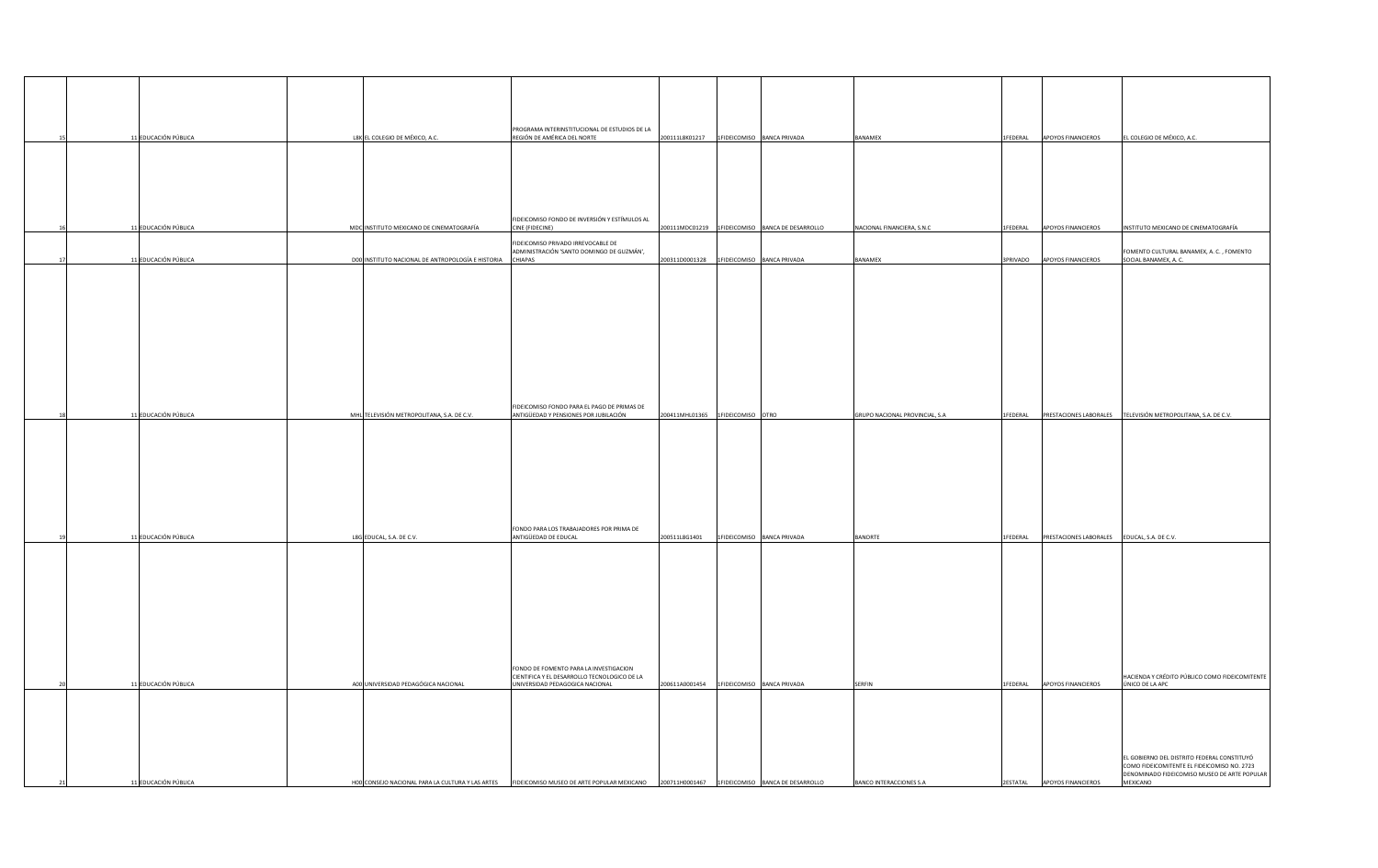|  | 11 EDUCACIÓN PÚBLICA | L8K EL COLEGIO DE MÉXICO, A.C.                    | PROGRAMA INTERINSTITUCIONAL DE ESTUDIOS DE LA<br>REGIÓN DE AMÉRICA DEL NORTE    |                | 200111L8K01217   1FIDEICOMISO   BANCA PRIVADA       | <b>BANAMEX</b>                        | 1FEDERAL APOYOS FINANCIEROS                          | EL COLEGIO DE MÉXICO, A.C.                                                                  |
|--|----------------------|---------------------------------------------------|---------------------------------------------------------------------------------|----------------|-----------------------------------------------------|---------------------------------------|------------------------------------------------------|---------------------------------------------------------------------------------------------|
|  |                      |                                                   |                                                                                 |                |                                                     |                                       |                                                      |                                                                                             |
|  |                      |                                                   |                                                                                 |                |                                                     |                                       |                                                      |                                                                                             |
|  |                      |                                                   |                                                                                 |                |                                                     |                                       |                                                      |                                                                                             |
|  |                      |                                                   |                                                                                 |                |                                                     |                                       |                                                      |                                                                                             |
|  |                      |                                                   | FIDEICOMISO FONDO DE INVERSIÓN Y ESTÍMULOS AL                                   |                |                                                     |                                       |                                                      |                                                                                             |
|  | 11 EDUCACIÓN PÚBLICA | MDC INSTITUTO MEXICANO DE CINEMATOGRAFÍA          | CINE (FIDECINE)                                                                 |                | 200111MDC01219   1FIDEICOMISO   BANCA DE DESARROLLO | NACIONAL FINANCIERA, S.N.C            | 1FEDERAL APOYOS FINANCIEROS                          | INSTITUTO MEXICANO DE CINEMATOGRAFÍA                                                        |
|  |                      |                                                   | FIDEICOMISO PRIVADO IRREVOCABLE DE<br>ADMINISTRACIÓN 'SANTO DOMINGO DE GUZMÁN', |                |                                                     |                                       |                                                      | FOMENTO CULTURAL BANAMEX, A. C., FOMENTO                                                    |
|  | 11 EDUCACIÓN PÚBLICA | DOO INSTITUTO NACIONAL DE ANTROPOLOGÍA E HISTORIA | <b>CHIAPAS</b>                                                                  | 200311D0001328 | 1FIDEICOMISO BANCA PRIVADA                          | <b>BANAMEX</b>                        | 3PRIVADO APOYOS FINANCIEROS                          | SOCIAL BANAMEX, A. C.                                                                       |
|  |                      |                                                   |                                                                                 |                |                                                     |                                       |                                                      |                                                                                             |
|  |                      |                                                   |                                                                                 |                |                                                     |                                       |                                                      |                                                                                             |
|  |                      |                                                   |                                                                                 |                |                                                     |                                       |                                                      |                                                                                             |
|  |                      |                                                   |                                                                                 |                |                                                     |                                       |                                                      |                                                                                             |
|  |                      |                                                   |                                                                                 |                |                                                     |                                       |                                                      |                                                                                             |
|  |                      |                                                   |                                                                                 |                |                                                     |                                       |                                                      |                                                                                             |
|  |                      |                                                   |                                                                                 |                |                                                     |                                       |                                                      |                                                                                             |
|  |                      |                                                   |                                                                                 |                |                                                     |                                       |                                                      |                                                                                             |
|  |                      |                                                   | FIDEICOMISO FONDO PARA EL PAGO DE PRIMAS DE                                     |                |                                                     |                                       |                                                      |                                                                                             |
|  | 11 EDUCACIÓN PÚBLICA | MHL TELEVISIÓN METROPOLITANA, S.A. DE C.V.        | ANTIGÜEDAD Y PENSIONES POR JUBILACIÓN                                           |                | 200411MHL01365 1FIDEICOMISO OTRO                    | <b>GRUPO NACIONAL PROVINCIAL, S.A</b> | 1FEDERAL   PRESTACIONES LABORALES                    | TELEVISIÓN METROPOLITANA, S.A. DE C.V.                                                      |
|  |                      |                                                   |                                                                                 |                |                                                     |                                       |                                                      |                                                                                             |
|  |                      |                                                   |                                                                                 |                |                                                     |                                       |                                                      |                                                                                             |
|  |                      |                                                   |                                                                                 |                |                                                     |                                       |                                                      |                                                                                             |
|  |                      |                                                   |                                                                                 |                |                                                     |                                       |                                                      |                                                                                             |
|  |                      |                                                   |                                                                                 |                |                                                     |                                       |                                                      |                                                                                             |
|  |                      |                                                   |                                                                                 |                |                                                     |                                       |                                                      |                                                                                             |
|  |                      |                                                   | FONDO PARA LOS TRABAJADORES POR PRIMA DE                                        |                |                                                     |                                       |                                                      |                                                                                             |
|  | 11 EDUCACIÓN PÚBLICA | L8G EDUCAL, S.A. DE C.V.                          | ANTIGÜEDAD DE EDUCAL                                                            | 200511L8G1401  | 1FIDEICOMISO BANCA PRIVADA                          | <b>BANORTE</b>                        | 1FEDERAL PRESTACIONES LABORALES EDUCAL, S.A. DE C.V. |                                                                                             |
|  |                      |                                                   |                                                                                 |                |                                                     |                                       |                                                      |                                                                                             |
|  |                      |                                                   |                                                                                 |                |                                                     |                                       |                                                      |                                                                                             |
|  |                      |                                                   |                                                                                 |                |                                                     |                                       |                                                      |                                                                                             |
|  |                      |                                                   |                                                                                 |                |                                                     |                                       |                                                      |                                                                                             |
|  |                      |                                                   |                                                                                 |                |                                                     |                                       |                                                      |                                                                                             |
|  |                      |                                                   |                                                                                 |                |                                                     |                                       |                                                      |                                                                                             |
|  |                      |                                                   |                                                                                 |                |                                                     |                                       |                                                      |                                                                                             |
|  |                      |                                                   | FONDO DE FOMENTO PARA LA INVESTIGACION                                          |                |                                                     |                                       |                                                      |                                                                                             |
|  | 11 EDUCACIÓN PÚBLICA | A00 UNIVERSIDAD PEDAGÓGICA NACIONAL               | CIENTIFICA Y EL DESARROLLO TECNOLOGICO DE LA<br>UNIVERSIDAD PEDAGOGICA NACIONAL |                | $200611A0001454$   1FIDEICOMISO   BANCA PRIVADA     | <b>SERFIN</b>                         | 1FEDERAL APOYOS FINANCIEROS                          | HACIENDA Y CRÉDITO PÚBLICO COMO FIDEICOMITENTE<br>ÚNICO DE LA APC                           |
|  |                      |                                                   |                                                                                 |                |                                                     |                                       |                                                      |                                                                                             |
|  |                      |                                                   |                                                                                 |                |                                                     |                                       |                                                      |                                                                                             |
|  |                      |                                                   |                                                                                 |                |                                                     |                                       |                                                      |                                                                                             |
|  |                      |                                                   |                                                                                 |                |                                                     |                                       |                                                      |                                                                                             |
|  |                      |                                                   |                                                                                 |                |                                                     |                                       |                                                      | EL GOBIERNO DEL DISTRITO FEDERAL CONSTITUYÓ                                                 |
|  |                      |                                                   |                                                                                 |                |                                                     |                                       |                                                      | COMO FIDEICOMITENTE EL FIDEICOMISO NO. 2723<br>DENOMINADO FIDEICOMISO MUSEO DE ARTE POPULAR |
|  | 11 EDUCACIÓN PÚBLICA | H00 CONSEJO NACIONAL PARA LA CULTURA Y LAS ARTES  | FIDEICOMISO MUSEO DE ARTE POPULAR MEXICANO                                      |                | 200711H0001467   1FIDEICOMISO   BANCA DE DESARROLLO | BANCO INTERACCIONES S.A               | 2ESTATAL APOYOS FINANCIEROS                          | <b>MEXICANO</b>                                                                             |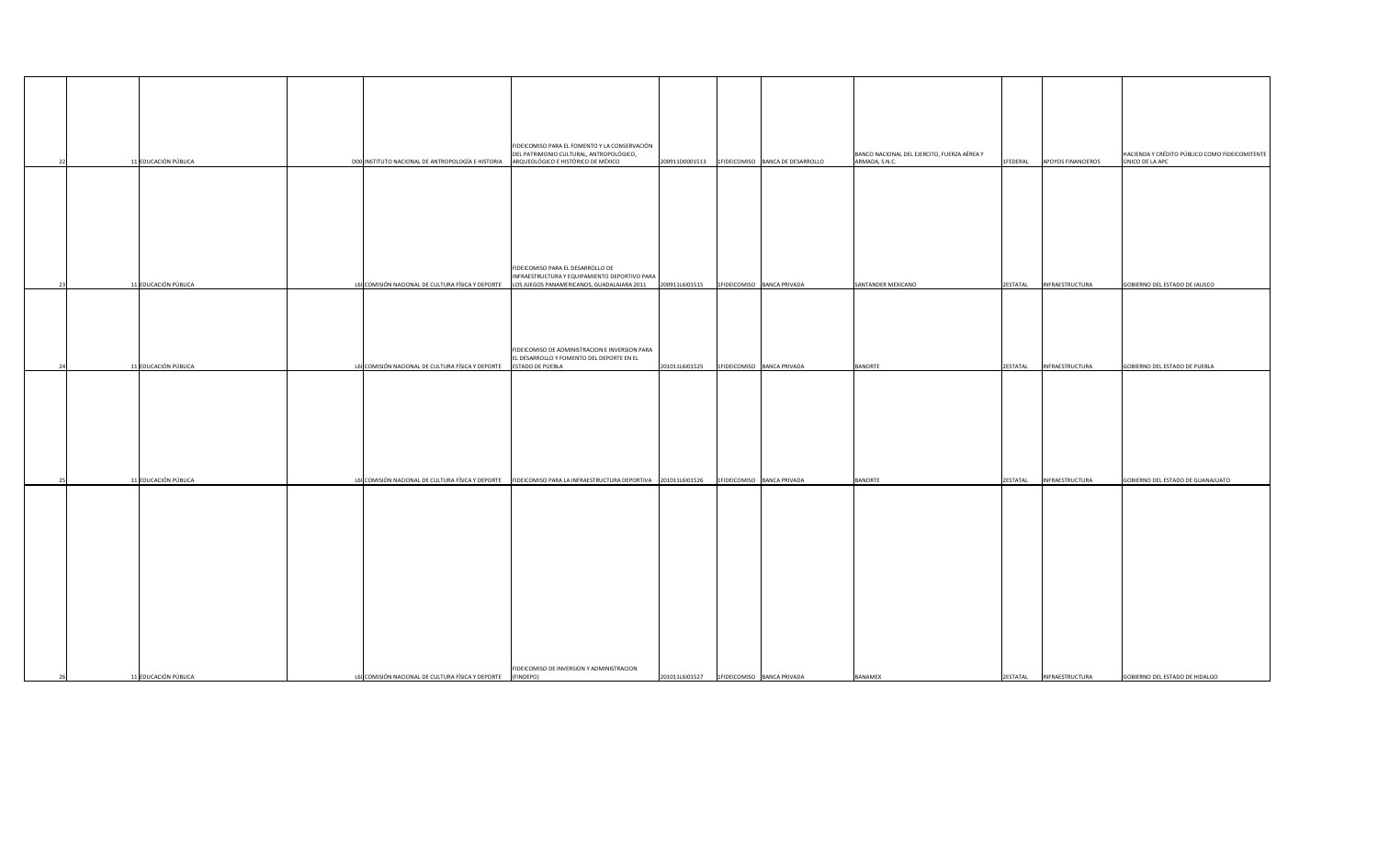|                | 11 EDUCACIÓN PÚBLICA | D00 INSTITUTO NACIONAL DE ANTROPOLOGÍA E HISTORIA                                                              | FIDEICOMISO PARA EL FOMENTO Y LA CONSERVACIÓN<br>DEL PATRIMONIO CULTURAL, ANTROPOLÓGICO,<br>ARQUEOLÓGICO E HISTÓRICO DE MÉXICO | 200911D0001513                              | 1FIDEICOMISO BANCA DE DESARROLLO | BANCO NACIONAL DEL EJERCITO, FUERZA AÉREA Y<br>ARMADA, S.N.C. | 1FEDERAL | <b>APOYOS FINANCIEROS</b> | HACIENDA Y CRÉDITO PÚBLICO COMO FIDEICOMITENTE<br>ÚNICO DE LA APC |
|----------------|----------------------|----------------------------------------------------------------------------------------------------------------|--------------------------------------------------------------------------------------------------------------------------------|---------------------------------------------|----------------------------------|---------------------------------------------------------------|----------|---------------------------|-------------------------------------------------------------------|
|                |                      |                                                                                                                | FIDEICOMISO PARA EL DESARROLLO DE                                                                                              |                                             |                                  |                                                               |          |                           |                                                                   |
|                | 11 EDUCACIÓN PÚBLICA | L6I COMISIÓN NACIONAL DE CULTURA FÍSICA Y DEPORTE   LOS JUEGOS PANAMERICANOS, GUADALAJARA 2011                 | INFRAESTRUCTURA Y EQUIPAMIENTO DEPORTIVO PARA                                                                                  | 200911L6I01515                              | 1FIDEICOMISO BANCA PRIVADA       | SANTANDER MEXICANO                                            |          | 2ESTATAL  INFRAESTRUCTURA | GOBIERNO DEL ESTADO DE JALISCO                                    |
| 2 <sup>i</sup> | 11 EDUCACIÓN PÚBLICA | L61 COMISIÓN NACIONAL DE CULTURA FÍSICA Y DEPORTE                                                              | FIDEICOMISO DE ADMINISTRACION E INVERSION PARA<br>EL DESARROLLO Y FOMENTO DEL DEPORTE EN EL<br><b>ESTADO DE PUEBLA</b>         | 201011L6l01525                              | 1FIDEICOMISO BANCA PRIVADA       | <b>BANORTE</b>                                                |          | 2ESTATAL  INFRAESTRUCTURA | GOBIERNO DEL ESTADO DE PUEBLA                                     |
|                | 11 EDUCACIÓN PÚBLICA | L6I COMISIÓN NACIONAL DE CULTURA FÍSICA Y DEPORTE FIDEICOMISO PARA LA INFRAESTRUCTURA DEPORTIVA 201011L6I01526 |                                                                                                                                |                                             | 1FIDEICOMISO BANCA PRIVADA       | <b>BANORTE</b>                                                |          | 2ESTATAL  INFRAESTRUCTURA | GOBIERNO DEL ESTADO DE GUANAJUATO                                 |
|                |                      |                                                                                                                | FIDEICOMISO DE INVERSION Y ADMINISTRACION                                                                                      |                                             |                                  |                                                               |          |                           |                                                                   |
|                | 11 EDUCACIÓN PÚBLICA | L61 COMISIÓN NACIONAL DE CULTURA FÍSICA Y DEPORTE                                                              | (FINDEPO)                                                                                                                      | 201011L6I01527   1FIDEICOMISO BANCA PRIVADA |                                  | <b>BANAMEX</b>                                                |          | 2ESTATAL  INFRAESTRUCTURA | GOBIERNO DEL ESTADO DE HIDALGO                                    |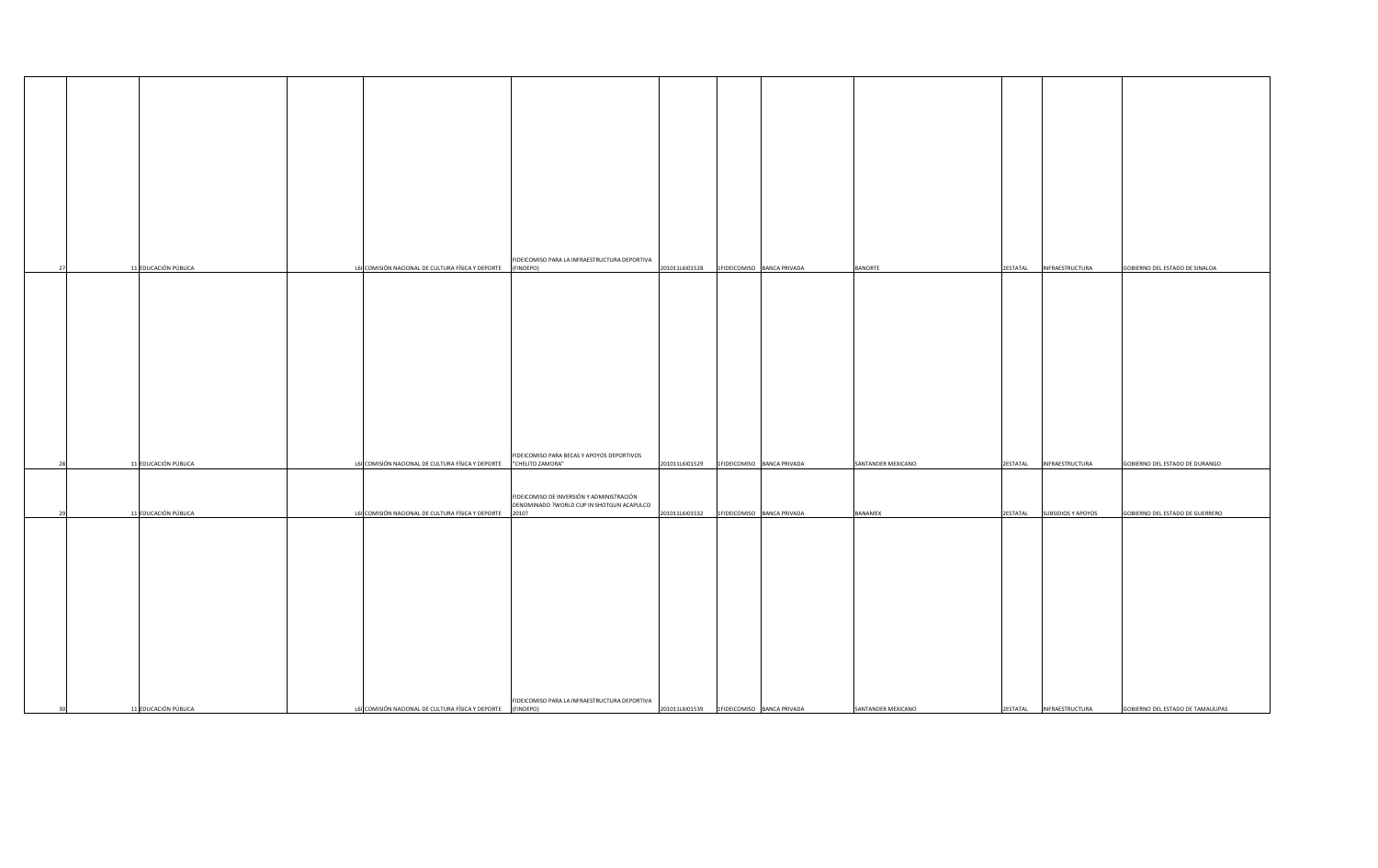|            |                      |                                                   | FIDEICOMISO PARA LA INFRAESTRUCTURA DEPORTIVA                  |                                                 |                            |                    |                             |                                   |
|------------|----------------------|---------------------------------------------------|----------------------------------------------------------------|-------------------------------------------------|----------------------------|--------------------|-----------------------------|-----------------------------------|
|            | 11 EDUCACIÓN PÚBLICA | L6I COMISIÓN NACIONAL DE CULTURA FÍSICA Y DEPORTE | (FINDEPO)                                                      | 201011L6I01528   1FIDEICOMISO BANCA PRIVADA     |                            | <b>BANORTE</b>     | 2ESTATAL  INFRAESTRUCTURA   | GOBIERNO DEL ESTADO DE SINALOA    |
|            |                      |                                                   |                                                                |                                                 |                            |                    |                             |                                   |
|            |                      |                                                   |                                                                |                                                 |                            |                    |                             |                                   |
|            |                      |                                                   |                                                                |                                                 |                            |                    |                             |                                   |
|            |                      |                                                   |                                                                |                                                 |                            |                    |                             |                                   |
|            |                      |                                                   |                                                                |                                                 |                            |                    |                             |                                   |
|            |                      |                                                   |                                                                |                                                 |                            |                    |                             |                                   |
|            |                      |                                                   |                                                                |                                                 |                            |                    |                             |                                   |
|            |                      |                                                   |                                                                |                                                 |                            |                    |                             |                                   |
|            |                      |                                                   |                                                                |                                                 |                            |                    |                             |                                   |
|            |                      |                                                   |                                                                |                                                 |                            |                    |                             |                                   |
|            | 11 EDUCACIÓN PÚBLICA | L61 COMISIÓN NACIONAL DE CULTURA FÍSICA Y DEPORTE | FIDEICOMISO PARA BECAS Y APOYOS DEPORTIVOS<br>"CHELITO ZAMORA" | 201011L6I01529   1FIDEICOMISO BANCA PRIVADA     |                            | SANTANDER MEXICANO | 2ESTATAL  INFRAESTRUCTURA   | GOBIERNO DEL ESTADO DE DURANGO    |
|            |                      |                                                   |                                                                |                                                 |                            |                    |                             |                                   |
|            |                      |                                                   | FIDEICOMISO DE INVERSIÓN Y ADMINISTRACIÓN                      |                                                 |                            |                    |                             |                                   |
| <b>291</b> | 11 EDUCACIÓN PÚBLICA | L61 COMISIÓN NACIONAL DE CULTURA FÍSICA Y DEPORTE | DENOMINADO ?WORLD CUP IN SHOTGUN ACAPULCO<br>2010?             | 201011L6l01532                                  | 1FIDEICOMISO BANCA PRIVADA | <b>BANAMEX</b>     | 2ESTATAL SUBSIDIOS Y APOYOS | GOBIERNO DEL ESTADO DE GUERRERO   |
|            |                      |                                                   |                                                                |                                                 |                            |                    |                             |                                   |
|            |                      |                                                   |                                                                |                                                 |                            |                    |                             |                                   |
|            |                      |                                                   |                                                                |                                                 |                            |                    |                             |                                   |
|            |                      |                                                   |                                                                |                                                 |                            |                    |                             |                                   |
|            |                      |                                                   |                                                                |                                                 |                            |                    |                             |                                   |
|            |                      |                                                   |                                                                |                                                 |                            |                    |                             |                                   |
|            |                      |                                                   |                                                                |                                                 |                            |                    |                             |                                   |
|            |                      |                                                   |                                                                |                                                 |                            |                    |                             |                                   |
|            |                      |                                                   |                                                                |                                                 |                            |                    |                             |                                   |
|            |                      |                                                   |                                                                |                                                 |                            |                    |                             |                                   |
|            |                      |                                                   | FIDEICOMISO PARA LA INFRAESTRUCTURA DEPORTIVA                  |                                                 |                            |                    |                             |                                   |
|            | 11 EDUCACIÓN PÚBLICA | L6I COMISIÓN NACIONAL DE CULTURA FÍSICA Y DEPORTE | (FINDEPO)                                                      | $201011L6101539$   1FIDEICOMISO   BANCA PRIVADA |                            | SANTANDER MEXICANO | 2ESTATAL  INFRAESTRUCTURA   | GOBIERNO DEL ESTADO DE TAMAULIPAS |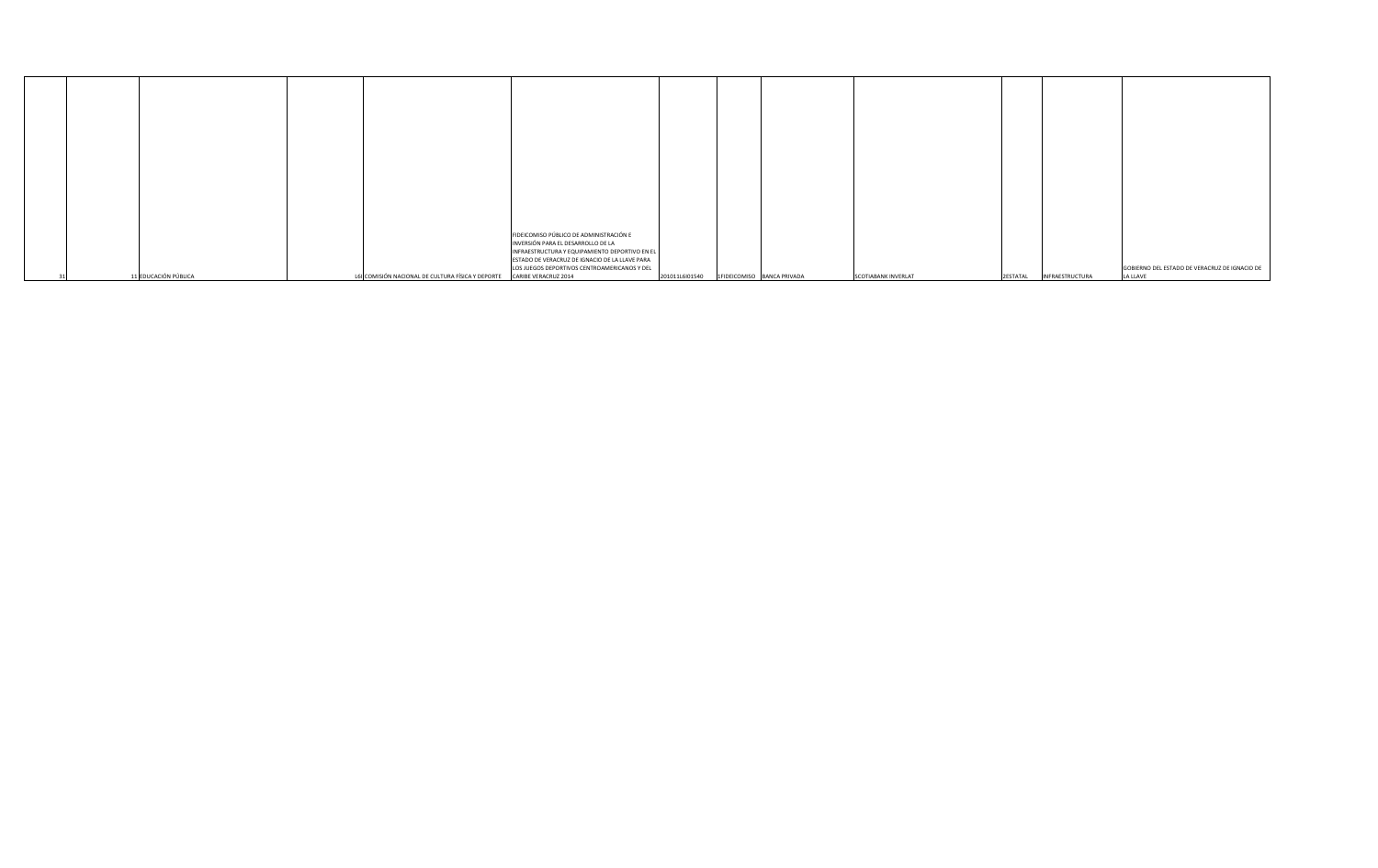|                      |                                                                        | FIDEICOMISO PÚBLICO DE ADMINISTRACIÓN E        |                                                 |                            |                           |                                               |
|----------------------|------------------------------------------------------------------------|------------------------------------------------|-------------------------------------------------|----------------------------|---------------------------|-----------------------------------------------|
|                      |                                                                        | INVERSIÓN PARA EL DESARROLLO DE LA             |                                                 |                            |                           |                                               |
|                      |                                                                        | INFRAESTRUCTURA Y EQUIPAMIENTO DEPORTIVO EN EL |                                                 |                            |                           |                                               |
|                      |                                                                        | ESTADO DE VERACRUZ DE IGNACIO DE LA LLAVE PARA |                                                 |                            |                           |                                               |
|                      |                                                                        | LOS JUEGOS DEPORTIVOS CENTROAMERICANOS Y DEL   |                                                 |                            |                           | GOBIERNO DEL ESTADO DE VERACRUZ DE IGNACIO DE |
| 11 EDUCACIÓN PÚBLICA | L6I COMISIÓN NACIONAL DE CULTURA FÍSICA Y DEPORTE CARIBE VERACRUZ 2014 |                                                | $201011L6101540$   1FIDEICOMISO   BANCA PRIVADA | <b>SCOTIABANK INVERLAT</b> | 2ESTATAL  INFRAESTRUCTURA | <b>LA LLAVE</b>                               |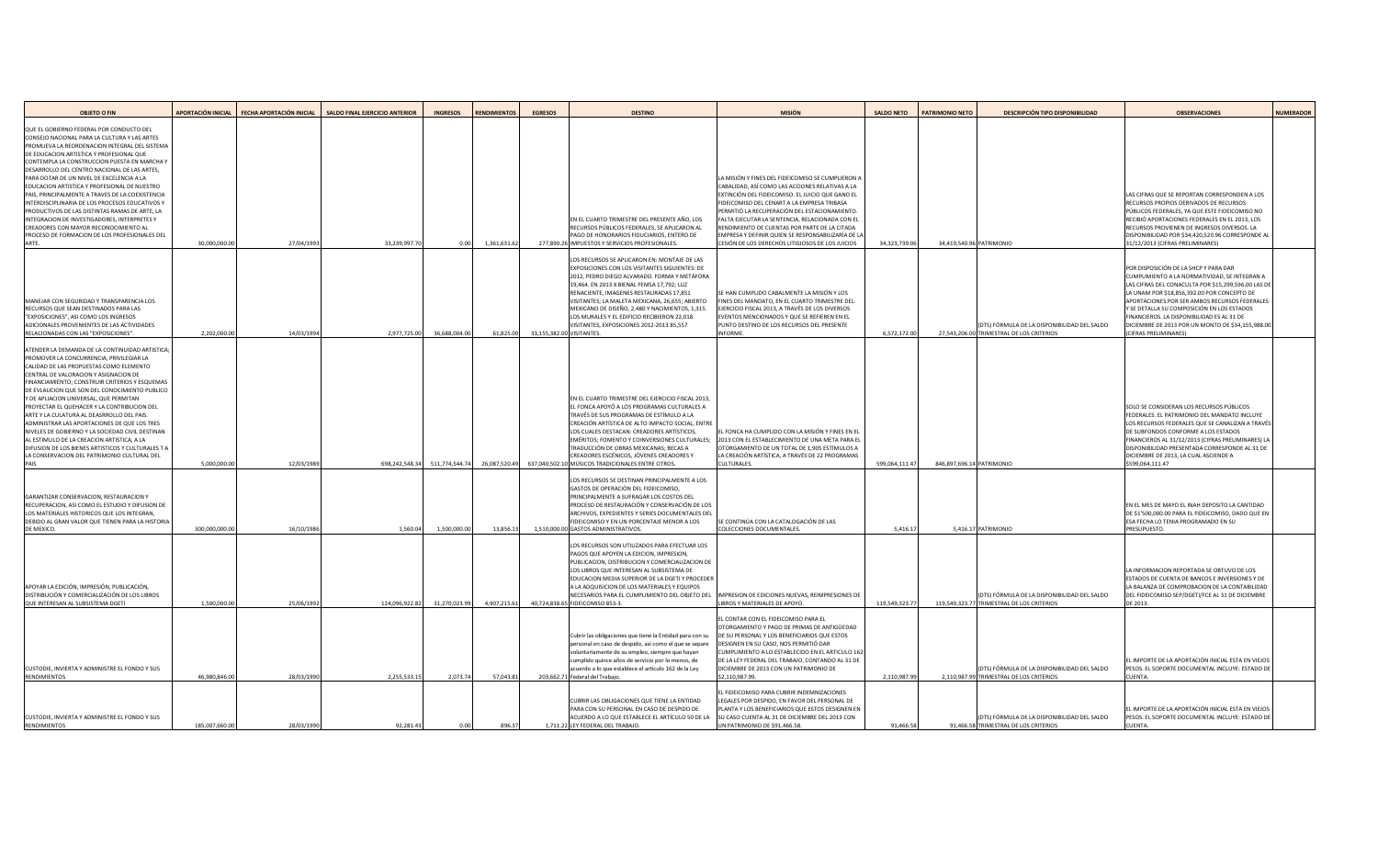| <b>OBJETO O FIN</b>                                                                                                                                                                                                                                                                                                                                                                                                                                                                                                                                                                                                                                                                                                |                | APORTACIÓN INICIAL   FECHA APORTACIÓN INICIAL | <b>SALDO FINAL EJERCICIO ANTERIOR</b> | <b>INGRESOS</b> | <b>RENDIMIENTOS</b> | <b>EGRESOS</b> | <b>DESTINO</b>                                                                                                                                                                                                                                                                                                                                                                                                                                                               | <b>MISIÓN</b>                                                                                                                                                                                                                                                                                                                                                                                                                                                          | <b>SALDO NETO</b> | <b>PATRIMONIO NETO</b>    | <b>DESCRIPCIÓN TIPO DISPONIBILIDAD</b>                                                     | <b>OBSERVACIONES</b>                                                                                                                                                                                                                                                                                                                                                                                                  | NUMERADOR |
|--------------------------------------------------------------------------------------------------------------------------------------------------------------------------------------------------------------------------------------------------------------------------------------------------------------------------------------------------------------------------------------------------------------------------------------------------------------------------------------------------------------------------------------------------------------------------------------------------------------------------------------------------------------------------------------------------------------------|----------------|-----------------------------------------------|---------------------------------------|-----------------|---------------------|----------------|------------------------------------------------------------------------------------------------------------------------------------------------------------------------------------------------------------------------------------------------------------------------------------------------------------------------------------------------------------------------------------------------------------------------------------------------------------------------------|------------------------------------------------------------------------------------------------------------------------------------------------------------------------------------------------------------------------------------------------------------------------------------------------------------------------------------------------------------------------------------------------------------------------------------------------------------------------|-------------------|---------------------------|--------------------------------------------------------------------------------------------|-----------------------------------------------------------------------------------------------------------------------------------------------------------------------------------------------------------------------------------------------------------------------------------------------------------------------------------------------------------------------------------------------------------------------|-----------|
| QUE EL GOBIERNO FEDERAL POR CONDUCTO DEL<br>CONSEJO NACIONAL PARA LA CULTURA Y LAS ARTES<br>PROMUEVA LA REORDENACION INTEGRAL DEL SISTEMA<br><b>DE EDUCACION ARTISTICA Y PROFESIONAL QUE</b><br>CONTEMPLA LA CONSTRUCCION PUESTA EN MARCHA Y<br>DESARROLLO DEL CENTRO NACIONAL DE LAS ARTES,<br>PARA DOTAR DE UN NIVEL DE EXCELENCIA A LA<br>EDUCACION ARTISTICA Y PROFESIONAL DE NUESTRO<br>PAIS, PRINCIPALMENTE A TRAVES DE LA COEXISTENCIA<br>INTERDISCIPLINARIA DE LOS PROCESOS EDUCATIVOS Y<br><b>PRODUCTIVOS DE LAS DISTINTAS RAMAS DE ARTE, LA</b><br>INTEGRACION DE INVESTIGADORES, INTERPRETES Y<br>CREADORES CON MAYOR RECONOCIMIENTO AL<br>PROCESO DE FORMACION DE LOS PROFESIONALES DEL<br><b>ARTE</b> | 30,000,000.00  | 27/04/1993                                    | 33,239,997.70                         | 0.00            | 1,361,631.62        |                | EN EL CUARTO TRIMESTRE DEL PRESENTE AÑO, LOS<br>RECURSOS PÚBLICOS FEDERALES, SE APLICARON AL<br>PAGO DE HONORARIOS FIDUCIARIOS, ENTERO DE<br>277,890.26 IMPUESTOS Y SERVICIOS PROFESIONALES.                                                                                                                                                                                                                                                                                 | LA MISIÓN Y FINES DEL FIDEICOMISO SE CUMPLIERON A<br>CABALIDAD, ASÍ COMO LAS ACCIONES RELATIVAS A LA<br>EXTINCIÓN DEL FIDEICOMISO. EL JUICIO QUE GANO EI<br>FIDEICOMISO DEL CENART A LA EMPRESA TRIBASA<br>PERMITIÓ LA RECUPERACIÓN DEL ESTACIONAMIENTO.<br>FALTA EJECUTAR LA SENTENCIA, RELACIONADA CON EL<br>RENDIMIENTO DE CUENTAS POR PARTE DE LA CITADA<br>EMPRESA Y DEFINIR QUIEN SE RESPONSABILIZARÍA DE LA<br>CESIÓN DE LOS DERECHOS LITIGIOSOS DE LOS JUICIOS | 34,323,739.06     | 34,419,540.96 PATRIMONIO  |                                                                                            | LAS CIFRAS QUE SE REPORTAN CORRESPONDEN A LOS<br><b>RECURSOS PROPIOS DERIVADOS DE RECURSOS</b><br>PÚBLICOS FEDERALES, YA QUE ESTE FIDEICOMISO NO<br>RECIBIÓ APORTACIONES FEDERALES EN EL 2013, LOS<br>RECURSOS PROVIENEN DE INGRESOS DIVERSOS. LA<br>DISPONIBILIDAD POR \$34,420,520.96 CORRESPONDE A<br>31/12/2013 (CIFRAS PRELIMINARES)                                                                             |           |
| MANEJAR CON SEGURIDAD Y TRANSPARENCIA LOS<br>RECURSOS QUE SEAN DESTINADOS PARA LAS<br>"EXPOSICIONES", ASI COMO LOS INGRESOS<br>ADICIONALES PROVENIENTES DE LAS ACTIVIDADES<br><b>RELACIONADAS CON LAS "EXPOSICIONES"</b>                                                                                                                                                                                                                                                                                                                                                                                                                                                                                           | 2,202,000.00   | 14/03/1994                                    | 2,977,725.00                          | 36,688,004.00   | 61,825.00           |                | LOS RECURSOS SE APLICARON EN: MONTAJE DE LAS<br><b>EXPOSICIONES CON LOS VISITANTES SIGUIENTES: DE</b><br>2012, PEDRO DIEGO ALVARADO. FORMA Y METÁFORA<br>19,464. EN 2013 X BIENAL FEMSA 17,792; LUZ<br>RENACIENTE, IMAGENES RESTAURADAS 17,851<br>VISITANTES; LA MALETA MEXICANA, 26,655; ABIERTO<br>MEXICANO DE DISEÑO, 2,480 Y NACIMIENTOS, 1,315<br>LOS MURALES Y EL EDIFICIO RECIBIERON 22,018<br>VISITANTES, EXPOSICIONES 2012-2013 85,557<br>33,155,382.00 VISITANTES. | SE HAN CUMPLIDO CABALMENTE LA MISIÓN Y LOS<br>FINES DEL MANDATO, EN EL CUARTO TRIMESTRE DEL<br>EJERCICIO FISCAL 2013, A TRAVÉS DE LOS DIVERSOS<br>EVENTOS MENCIONADOS Y QUE SE REFIEREN EN EL<br>PUNTO DESTINO DE LOS RECURSOS DEL PRESENTE<br>INFORME.                                                                                                                                                                                                                | 6,572,172.00      |                           | (DTS) FÓRMULA DE LA DISPONIBILIDAD DEL SALDO<br>27,543,206.00 TRIMESTRAL DE LOS CRITERIOS  | POR DISPOSICIÓN DE LA SHCP Y PARA DAR<br>CUMPLIMIENTO A LA NORMATIVIDAD, SE INTEGRAN A<br>LAS CIFRAS DEL CONACULTA POR \$15,299,596.00 LAS D<br>LA UNAM POR \$18,856,392.00 POR CONCEPTO DE<br>APORTACIONES POR SER AMBOS RECURSOS FEDERALES<br>Y SE DETALLA SU COMPOSICIÓN EN LOS ESTADOS<br>FINANCIEROS. LA DISPONIBILIDAD ES AL 31 DE<br>DICIEMBRE DE 2013 POR UN MONTO DE \$34,155,988.0<br>(CIFRAS PRELIMINARES) |           |
| ATENDER LA DEMANDA DE LA CONTINUIDAD ARTISTICA;<br>PROMOVER LA CONCURRENCIA, PRIVILEGIAR LA<br>CALIDAD DE LAS PROPUESTAS COMO ELEMENTO<br>CENTRAL DE VALORACION Y ASIGNACION DE<br>FINANCIAMIENTO; CONSTRUIR CRITERIOS Y ESQUEMAS<br>DE EVLAUCION QUE SON DEL CONOCIMIENTO PUBLICO<br>Y DE APLIACION UNIVERSAL, QUE PERMITAN<br><b>PROYECTAR EL QUEHACER Y LA CONTRIBUCION DEL</b><br>ARTE Y LA CULATURA AL DEASRROLLO DEL PAIS.<br>ADMINISTRAR LAS APORTACIONES DE QUE LOS TRES<br>NIVELES DE GOBIERNO Y LA SOCIEDAD CIVIL DESTINAN<br>AL ESTIMULO DE LA CREACION ARTISTICA, A LA<br>DIFUSION DE LOS BIENES ARTISTICOS Y CULTURALES T A<br>LA CONSERVACION DEL PATRIMONIO CULTURAL DEL<br>PAIS                    | 5,000,000.00   | 12/03/1989                                    | 698,242,548.34                        | 511,774,544.74  | 26,087,520.49       |                | EN EL CUARTO TRIMESTRE DEL EJERCICIO FISCAL 2013<br>EL FONCA APOYÓ A LOS PROGRAMAS CULTURALES A<br>TRAVÉS DE SUS PROGRAMAS DE ESTÍMULO A LA<br>CREACIÓN ARTÍSTICA DE ALTO IMPACTO SOCIAL, ENTRE<br>LOS CUALES DESTACAN: CREADORES ARTÍSTICOS<br>EMÉRITOS; FOMENTO Y COINVERSIONES CULTURALES;<br>TRADUCCIÓN DE OBRAS MEXICANAS; BECAS A<br>CREADORES ESCÉNICOS, JÓVENES CREADORES Y<br>637,040,502.10 MÚSICOS TRADICIONALES ENTRE OTROS                                      | EL FONCA HA CUMPLIDO CON LA MISIÓN Y FINES EN EL<br>2013 CON EL ESTABLECIMIENTO DE UNA META PARA EL<br>OTORGAMIENTO DE UN TOTAL DE 1,905 ESTÍMULOS A<br>LA CREACIÓN ARTÍSTICA, A TRAVÉS DE 22 PROGRAMAS<br><b>CULTURALES.</b>                                                                                                                                                                                                                                          | 599,064,111.47    | 846,897,696.14 PATRIMONIO |                                                                                            | SOLO SE CONSIDERAN LOS RECURSOS PÚBLICOS<br>FEDERALES. EL PATRIMONIO DEL MANDATO INCLUYE<br>LOS RECURSOS FEDERALES QUE SE CANALIZAN A TRAVÉ<br>DE SUBFONDOS CONFORME A LOS ESTADOS<br>FINANCIEROS AL 31/12/2013 (CIFRAS PRELIMINARES) LA<br>DISPONIBILIDAD PRESENTADA CORRESPONDE AL 31 DI<br>DICIEMBRE DE 2013, LA CUAL ASCIENDE A<br>\$599,064,111.47                                                               |           |
| GARANTIZAR CONSERVACION, RESTAURACION Y<br>RECUPERACION, ASI COMO EL ESTUDIO Y DIFUSION DE<br>LOS MATERIALES HISTORICOS QUE LOS INTEGRAN,<br>DEBIDO AL GRAN VALOR QUE TIENEN PARA LA HISTORIA<br>DE MEXICO.                                                                                                                                                                                                                                                                                                                                                                                                                                                                                                        | 300,000,000.0  | 16/10/1986                                    | 1,560.04                              | 1,500,000.00    | 13,856.13           |                | LOS RECURSOS SE DESTINAN PRINCIPALMENTE A LOS<br>GASTOS DE OPERACIÓN DEL FIDEICOMISO,<br>PRINCIPALMENTE A SUFRAGAR LOS COSTOS DEL<br>PROCESO DE RESTAURACIÓN Y CONSERVACIÓN DE LOS<br><b>ARCHIVOS, EXPEDIENTES Y SERIES DOCUMENTALES DEL</b><br><b>FIDEICOMISO Y EN UN PORCENTAJE MENOR A LOS</b><br>1,510,000.00 GASTOS ADMINISTRATIVOS.                                                                                                                                    | SE CONTINÚA CON LA CATALOGACIÓN DE LAS<br>COLECCIONES DOCUMENTALES.                                                                                                                                                                                                                                                                                                                                                                                                    | 5,416.17          | 5,416.17 PATRIMONIO       |                                                                                            | EN EL MES DE MAYO EL INAH DEPOSITO LA CANTIDAD<br>DE \$1'500,000.00 PARA EL FIDEICOMISO, DADO QUE EN<br><b>ESA FECHA LO TENIA PROGRAMADO EN SU</b><br>PRESUPUESTO.                                                                                                                                                                                                                                                    |           |
| APOYAR LA EDICIÓN, IMPRESIÓN, PUBLICACIÓN,<br><b>DISTRIBUCIÓN Y COMERCIALIZACIÓN DE LOS LIBROS</b><br>QUE INTERESAN AL SUBSISTEMA DGETI                                                                                                                                                                                                                                                                                                                                                                                                                                                                                                                                                                            | 1,500,000.00   | 25/06/1992                                    | 124,096,922.82                        | 31,270,023.99   | 4,907,215.61        |                | LOS RECURSOS SON UTILIZADOS PARA EFECTUAR LOS<br>PAGOS QUE APOYEN LA EDICION, IMPRESION<br>PUBLICACION, DISTRIBUCION Y COMERCIALIZACION DE<br>LOS LIBROS QUE INTERESAN AL SUBSISTEMA DE<br>EDUCACION MEDIA SUPERIOR DE LA DGETI Y PROCEDEI<br>A LA ADQUISICION DE LOS MATERIALES Y EQUIPOS<br>NECESARIOS PARA EL CUMPLIMIENTO DEL OBJETO DEL<br>40,724,838.65 FIDEICOMISO 853-3                                                                                              | IMPRESION DE EDICIONES NUEVAS, REIMPRESIONES DE<br>LIBROS Y MATERIALES DE APOYO.                                                                                                                                                                                                                                                                                                                                                                                       | 119,549,323.77    |                           | (DTS) FÓRMULA DE LA DISPONIBILIDAD DEL SALDO<br>119,549,323.77 TRIMESTRAL DE LOS CRITERIOS | LA INFORMACION REPORTADA SE OBTUVO DE LOS<br>ESTADOS DE CUENTA DE BANCOS E INVERSIONES Y DE<br>LA BALANZA DE COMPROBACION DE LA CONTABILIDAD<br>DEL FIDEICOMISO SEP/DGETI/FCE AL 31 DE DICIEMBRE<br>DE 2013.                                                                                                                                                                                                          |           |
| CUSTODIE, INVIERTA Y ADMINISTRE EL FONDO Y SUS<br>RENDIMIENTOS                                                                                                                                                                                                                                                                                                                                                                                                                                                                                                                                                                                                                                                     | 46,980,846.0   | 28/03/1990                                    | 2,255,533.15                          | 2,073.74        | 57,043.81           |                | Cubrir las obligaciones que tiene la Entidad para con su<br>personal en caso de despido, así como el que se separe<br>voluntariamente de su empleo, siempre que hayan<br>cumplido quince años de servicio por lo menos, de<br>acuerdo a lo que establece el artículo 162 de la Ley<br>203,662.71 Federal del Trabajo.                                                                                                                                                        | EL CONTAR CON EL FIDEICOMISO PARA EL<br>OTORGAMIENTO Y PAGO DE PRIMAS DE ANTIGÜEDAD<br>DE SU PERSONAL Y LOS BENEFICIARIOS QUE ESTOS<br>DESIGNEN EN SU CASO, NOS PERMITIÓ DAR<br>CUMPLIMIENTO A LO ESTABLECIDO EN EL ARTICULO 162<br>DE LA LEY FEDERAL DEL TRABAJO, CONTANDO AL 31 DE<br>DICIEMBRE DE 2013 CON UN PATRIMONIO DE<br>\$2,110,987.99.                                                                                                                      | 2,110,987.99      |                           | (DTS) FÓRMULA DE LA DISPONIBILIDAD DEL SALDO<br>2,110,987.99 TRIMESTRAL DE LOS CRITERIOS   | EL IMPORTE DE LA APORTACIÓN INICIAL ESTA EN VIEJOS<br>PESOS. EL SOPORTE DOCUMENTAL INCLUYE: ESTADO DI<br>CUENTA.                                                                                                                                                                                                                                                                                                      |           |
| CUSTODIE, INVIERTA Y ADMINISTRE EL FONDO Y SUS<br>RENDIMIENTOS                                                                                                                                                                                                                                                                                                                                                                                                                                                                                                                                                                                                                                                     | 185,007,660.00 | 28/03/1990                                    | 92,281.43                             |                 | 896.37              |                | CUBRIR LAS OBLIGACIONES QUE TIENE LA ENTIDAD<br>PARA CON SU PERSONAL EN CASO DE DESPIDO DE<br>ACUERDO A LO QUE ESTABLECE EL ARTÍCULO 50 DE LA<br>1,711.22 LEY FEDERAL DEL TRABAJO.                                                                                                                                                                                                                                                                                           | EL FIDEICOMISO PARA CUBRIR INDEMNIZACIONES<br>LEGALES POR DESPIDO, EN FAVOR DEL PERSONAL DE<br>PLANTA Y LOS BENEFICIARIOS QUE ESTOS DESIGNEN EN<br>SU CASO CUENTA AL 31 DE DICIEMBRE DEL 2013 CON<br>UN PATRIMONIO DE \$91,466.58.                                                                                                                                                                                                                                     | 91,466.58         |                           | (DTS) FÓRMULA DE LA DISPONIBILIDAD DEL SALDO<br>91,466.58 TRIMESTRAL DE LOS CRITERIOS      | EL IMPORTE DE LA APORTACIÓN INICIAL ESTA EN VIEJOS<br>PESOS. EL SOPORTE DOCUMENTAL INCLUYE: ESTADO DI<br><b>CUENTA.</b>                                                                                                                                                                                                                                                                                               |           |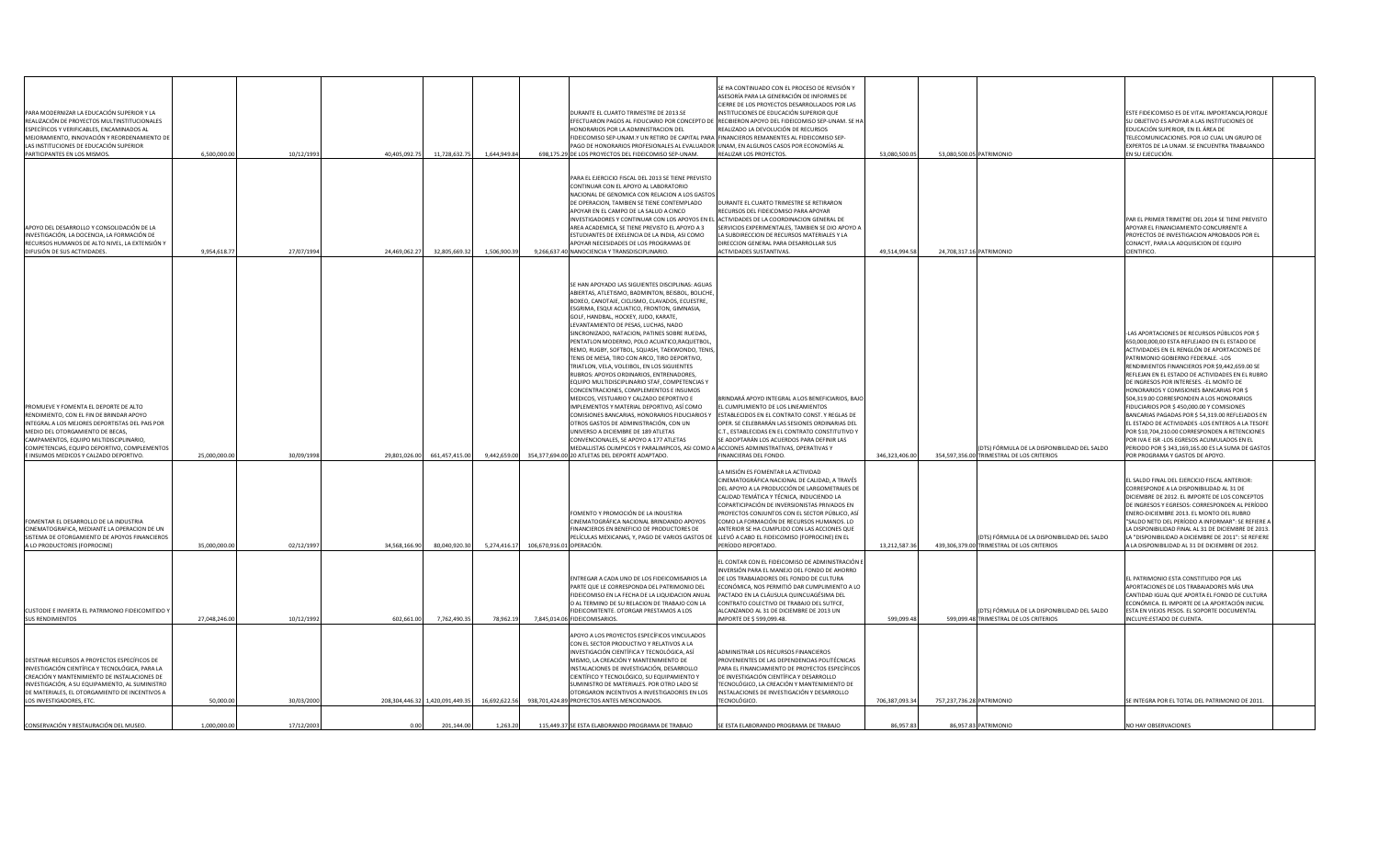| PARA MODERNIZAR LA EDUCACIÓN SUPERIOR Y LA<br>REALIZACIÓN DE PROYECTOS MULTINSTITUCIONALES<br>ESPECÍFICOS Y VERIFICABLES, ENCAMINADOS AL<br>MEJORAMIENTO, INNOVACIÓN Y REORDENAMIENTO DE<br>LAS INSTITUCIONES DE EDUCACIÓN SUPERIOR<br>PARTICIPANTES EN LOS MISMOS.                                                  | 6,500,000.00  | 10/12/199  | 40,405,092.75<br>11,728,632.7<br>1,644,949.84   |                           | DURANTE EL CUARTO TRIMESTRE DE 2013.SE<br>HONORARIOS POR LA ADMINISTRACION DEL<br>FIDEICOMISO SEP-UNAM.Y UN RETIRO DE CAPITAL PARA FINANCIEROS REMANENTES AL FIDEICOMISO SEP-<br>PAGO DE HONORARIOS PROFESIONALES AL EVALUADOR (UNAM, EN ALGUNOS CASOS POR ECONOMÍAS AL<br>698,175.29 DE LOS PROYECTOS DEL FIDEICOMISO SEP-UNAM.                                                                                                                                                                                                                                                                                                                                                                                                                                                                                                                                                                                                                                                                                                                                                                       | SE HA CONTINUADO CON EL PROCESO DE REVISIÓN Y<br>ASESORÍA PARA LA GENERACIÓN DE INFORMES DE<br>CIERRE DE LOS PROYECTOS DESARROLLADOS POR LAS<br>INSTITUCIONES DE EDUCACIÓN SUPERIOR QUE<br>EFECTUARON PAGOS AL FIDUCIARIO POR CONCEPTO DE RECIBIERON APOYO DEL FIDEICOMISO SEP-UNAM. SE HA<br>REALIZADO LA DEVOLUCIÓN DE RECURSOS<br>REALIZAR LOS PROYECTOS.                                                                                             | 53,080,500.05  | 53,080,500.05 PATRIMONIO  |                                                                                            | ESTE FIDEICOMISO ES DE VITAL IMPORTANCIA, PORQUI<br>SU OBJETIVO ES APOYAR A LAS INSTITUCIONES DE<br>EDUCACIÓN SUPERIOR, EN EL ÁREA DE<br>TELECOMUNICACIONES. POR LO CUAL UN GRUPO DE<br>EXPERTOS DE LA UNAM. SE ENCUENTRA TRABAJANDO<br>EN SU EJECUCIÓN.                                                                                                                                                                                                                                                                                                                                                                                                                                                                                                                      |
|----------------------------------------------------------------------------------------------------------------------------------------------------------------------------------------------------------------------------------------------------------------------------------------------------------------------|---------------|------------|-------------------------------------------------|---------------------------|--------------------------------------------------------------------------------------------------------------------------------------------------------------------------------------------------------------------------------------------------------------------------------------------------------------------------------------------------------------------------------------------------------------------------------------------------------------------------------------------------------------------------------------------------------------------------------------------------------------------------------------------------------------------------------------------------------------------------------------------------------------------------------------------------------------------------------------------------------------------------------------------------------------------------------------------------------------------------------------------------------------------------------------------------------------------------------------------------------|----------------------------------------------------------------------------------------------------------------------------------------------------------------------------------------------------------------------------------------------------------------------------------------------------------------------------------------------------------------------------------------------------------------------------------------------------------|----------------|---------------------------|--------------------------------------------------------------------------------------------|-------------------------------------------------------------------------------------------------------------------------------------------------------------------------------------------------------------------------------------------------------------------------------------------------------------------------------------------------------------------------------------------------------------------------------------------------------------------------------------------------------------------------------------------------------------------------------------------------------------------------------------------------------------------------------------------------------------------------------------------------------------------------------|
| APOYO DEL DESARROLLO Y CONSOLIDACIÓN DE LA<br>INVESTIGACIÓN, LA DOCENCIA, LA FORMACIÓN DE<br>RECURSOS HUMANOS DE ALTO NIVEL, LA EXTENSIÓN Y<br><b>DIFUSIÓN DE SUS ACTIVIDADES.</b>                                                                                                                                   | 9,954,618.7   | 27/07/1994 | 32,805,669.32<br>1,506,900.3<br>24,469,062.27   |                           | PARA EL EJERCICIO FISCAL DEL 2013 SE TIENE PREVISTO<br>CONTINUAR CON EL APOYO AL LABORATORIO<br>INACIONAL DE GENOMICA CON RELACION A LOS GASTOS<br>DE OPERACION, TAMBIEN SE TIENE CONTEMPLADO<br>APOYAR EN EL CAMPO DE LA SALUD A CINCO<br>INVESTIGADORES Y CONTINUAR CON LOS APOYOS EN EL ACTIVIDADES DE LA COORDINACION GENERAL DE<br>AREA ACADEMICA, SE TIENE PREVISTO EL APOYO A 3<br><b>ESTUDIANTES DE EXELENCIA DE LA INDIA, ASI COMO</b><br>APOYAR NECESIDADES DE LOS PROGRAMAS DE<br>9.266.637.40 NANOCIENCIA Y TRANSDISCIPLINARIO.                                                                                                                                                                                                                                                                                                                                                                                                                                                                                                                                                            | DURANTE EL CUARTO TRIMESTRE SE RETIRARON<br>RECURSOS DEL FIDEICOMISO PARA APOYAR<br>SERVICIOS EXPERIMENTALES, TAMBIEN SE DIO APOYO A<br>LA SUBDIRECCION DE RECURSOS MATERIALES Y LA<br><b>DIRECCION GENERAL PARA DESARROLLAR SUS</b><br><b>ACTIVIDADES SUSTANTIVAS.</b>                                                                                                                                                                                  | 49,514,994.58  | 24.708.317.16 PATRIMONIO  |                                                                                            | PAR EL PRIMER TRIMETRE DEL 2014 SE TIENE PREVISTO<br>APOYAR EL FINANCIAMIENTO CONCURRENTE A<br>PROYECTOS DE INVESTIGACION APROBADOS POR EL<br>CONACYT, PARA LA ADQUISICION DE EQUIPO<br><b>CIENTIFICO.</b>                                                                                                                                                                                                                                                                                                                                                                                                                                                                                                                                                                    |
| <b>PROMUEVE Y FOMENTA EL DEPORTE DE ALTO</b><br>RENDIMIENTO, CON EL FIN DE BRINDAR APOYO<br>INTEGRAL A LOS MEJORES DEPORTISTAS DEL PAIS POR<br>MEDIO DEL OTORGAMIENTO DE BECAS,<br>CAMPAMENTOS, EQUIPO MILTIDISCIPLINARIO,<br>COMPETENCIAS, EQUIPO DEPORTIVO, COMPLEMENTOS<br>E INSUMOS MEDICOS Y CALZADO DEPORTIVO. | 25,000,000.00 | 30/09/1998 | 9,442,659.00<br>29,801,026.00 661,457,415.00    |                           | SE HAN APOYADO LAS SIGUIENTES DISCIPLINAS: AGUAS<br>ABIERTAS, ATLETISMO, BADMINTON, BEISBOL, BOLICHE<br>BOXEO, CANOTAJE, CICLISMO, CLAVADOS, ECUESTRE,<br>ESGRIMA, ESQUI ACUATICO, FRONTON, GIMNASIA,<br>GOLF, HANDBAL, HOCKEY, JUDO, KARATE,<br>LEVANTAMIENTO DE PESAS, LUCHAS, NADO<br>SINCRONIZADO, NATACION, PATINES SOBRE RUEDAS,<br>PENTATLON MODERNO, POLO ACUATICO, RAQUETBOL,<br>REMO, RUGBY, SOFTBOL, SQUASH, TAEKWONDO, TENIS<br>TENIS DE MESA, TIRO CON ARCO, TIRO DEPORTIVO,<br>TRIATLON, VELA, VOLEIBOL, EN LOS SIGUIENTES<br>RUBROS: APOYOS ORDINARIOS, ENTRENADORES,<br>EQUIPO MULTIDISCIPLINARIO STAF, COMPETENCIAS Y<br>CONCENTRACIONES, COMPLEMENTOS E INSUMOS<br>MEDICOS, VESTUARIO Y CALZADO DEPORTIVO E<br>IMPLEMENTOS Y MATERIAL DEPORTIVO, ASÍ COMO<br>COMISIONES BANCARIAS, HONORARIOS FIDUCIARIOS Y<br>OTROS GASTOS DE ADMINISTRACIÓN, CON UN<br>UNIVERSO A DICIEMBRE DE 189 ATLETAS<br>CONVENCIONALES, SE APOYO A 177 ATLETAS<br>MEDALLISTAS OLIMPICOS Y PARALIMPICOS, ASI COMO A ACCIONES ADMINISTRATIVAS, OPERATIVAS Y<br>354,377,694.00 20 ATLETAS DEL DEPORTE ADAPTADO. | BRINDARÁ APOYO INTEGRAL A LOS BENEFICIARIOS, BAJO<br>L CUMPLIMIENTO DE LOS LINEAMIENTOS<br><b>ESTABLECIDOS EN EL CONTRATO CONST. Y REGLAS DE</b><br>OPER. SE CELEBRARÁN LAS SESIONES ORDINARIAS DEL<br>C.T., ESTABLECIDAS EN EL CONTRATO CONSTITUTIVO Y<br>SE ADOPTARÁN LOS ACUERDOS PARA DEFINIR LAS<br>FINANCIERAS DEL FONDO.                                                                                                                          | 346,323,406.00 |                           | (DTS) FÓRMULA DE LA DISPONIBILIDAD DEL SALDO<br>354,597,356.00 TRIMESTRAL DE LOS CRITERIOS | LAS APORTACIONES DE RECURSOS PÚBLICOS POR \$<br>650,000,000,00 ESTA REFLEJADO EN EL ESTADO DE<br>ACTIVIDADES EN EL RENGLÓN DE APORTACIONES DE<br>PATRIMONIO GOBIERNO FEDERALE. - LOS<br>RENDIMIENTOS FINANCIEROS POR \$9,442,659.00 SE<br>REFLEJAN EN EL ESTADO DE ACTIVIDADES EN EL RUBRO<br>DE INGRESOS POR INTERESES. - EL MONTO DE<br>HONORARIOS Y COMISIONES BANCARIAS POR \$<br>504,319.00 CORRESPONDEN A LOS HONORARIOS<br>FIDUCIARIOS POR \$450,000.00 Y COMISIONES<br>BANCARIAS PAGADAS POR \$ 54,319.00 REFLEJADOS EN<br>EL ESTADO DE ACTIVIDADES - LOS ENTEROS A LA TESOFE<br>POR \$10,704,210.00 CORRESPONDEN A RETENCIONES<br>POR IVA E ISR -LOS EGRESOS ACUMULADOS EN EL<br>PERIODO POR \$343,169,165.00 ES LA SUMA DE GASTO<br>POR PROGRAMA Y GASTOS DE APOYO. |
| FOMENTAR EL DESARROLLO DE LA INDUSTRIA<br>CINEMATOGRAFICA, MEDIANTE LA OPERACION DE UN<br>SISTEMA DE OTORGAMIENTO DE APOYOS FINANCIEROS<br>A LO PRODUCTORES (FOPROCINE)                                                                                                                                              | 35,000,000.00 | 02/12/1997 | 34,568,166.90<br>80,040,920.30<br>5,274,416.1   | 106,670,916.01 OPERACIÓN. | FOMENTO Y PROMOCIÓN DE LA INDUSTRIA<br>CINEMATOGRÁFICA NACIONAL BRINDANDO APOYOS<br>FINANCIEROS EN BENEFICIO DE PRODUCTORES DE<br>PELÍCULAS MEXICANAS, Y, PAGO DE VARIOS GASTOS DE                                                                                                                                                                                                                                                                                                                                                                                                                                                                                                                                                                                                                                                                                                                                                                                                                                                                                                                     | LA MISIÓN ES FOMENTAR LA ACTIVIDAD<br>CINEMATOGRÁFICA NACIONAL DE CALIDAD, A TRAVÉS<br>DEL APOYO A LA PRODUCCIÓN DE LARGOMETRAJES DE<br>CALIDAD TEMÁTICA Y TÉCNICA, INDUCIENDO LA<br>COPARTICIPACIÓN DE INVERSIONISTAS PRIVADOS EN<br>PROYECTOS CONJUNTOS CON EL SECTOR PÚBLICO, ASÍ<br>COMO LA FORMACIÓN DE RECURSOS HUMANOS. LO<br>ANTERIOR SE HA CUMPLIDO CON LAS ACCIONES QUE<br>LLEVÓ A CABO EL FIDEICOMISO (FOPROCINE) EN EL<br>PERÍODO REPORTADO. | 13,212,587.36  |                           | (DTS) FÓRMULA DE LA DISPONIBILIDAD DEL SALDO<br>439,306,379.00 TRIMESTRAL DE LOS CRITERIOS | EL SALDO FINAL DEL EJERCICIO FISCAL ANTERIOR:<br>CORRESPONDE A LA DISPONIBILIDAD AL 31 DE<br>DICIEMBRE DE 2012. EL IMPORTE DE LOS CONCEPTOS<br>DE INGRESOS Y EGRESOS: CORRESPONDEN AL PERÍODO<br>ENERO-DICIEMBRE 2013. EL MONTO DEL RUBRO<br>"SALDO NETO DEL PERÍODO A INFORMAR": SE REFIERE A<br>LA DISPONIBILIDAD FINAL AL 31 DE DICIEMBRE DE 2013<br>LA "DISPONIBILIDAD A DICIEMBRE DE 2011": SE REFIERE<br>A LA DISPONIBILIDAD AL 31 DE DICIEMBRE DE 2012.                                                                                                                                                                                                                                                                                                                |
| <b>CUSTODIE E INVIERTA EL PATRIMONIO FIDEICOMITIDO Y</b><br><b>SUS RENDIMIENTOS</b>                                                                                                                                                                                                                                  | 27,048,246.00 | 10/12/1992 | 7,762,490.35<br>78,962.19<br>602,661.00         |                           | ENTREGAR A CADA UNO DE LOS FIDEICOMISARIOS LA<br>PARTE QUE LE CORRESPONDA DEL PATRIMONIO DEL<br>FIDEICOMISO EN LA FECHA DE LA LIQUIDACION ANUAL<br>O AL TERMINO DE SU RELACION DE TRABAJO CON LA<br>FIDEICOMITENTE. OTORGAR PRESTAMOS A LOS<br>7,845,014.06 FIDEICOMISARIOS.                                                                                                                                                                                                                                                                                                                                                                                                                                                                                                                                                                                                                                                                                                                                                                                                                           | EL CONTAR CON EL FIDEICOMISO DE ADMINISTRACIÓN E<br>INVERSIÓN PARA EL MANEJO DEL FONDO DE AHORRO<br>DE LOS TRABAJADORES DEL FONDO DE CULTURA<br>ECONÓMICA, NOS PERMITIÓ DAR CUMPLIMIENTO A LO<br>PACTADO EN LA CLÁUSULA QUINCUAGÉSIMA DEL<br>CONTRATO COLECTIVO DE TRABAJO DEL SUTFCE,<br>ALCANZANDO AL 31 DE DICIEMBRE DE 2013 UN<br>IMPORTE DE \$ 599,099.48.                                                                                          | 599,099.48     |                           | (DTS) FÓRMULA DE LA DISPONIBILIDAD DEL SALDO<br>599,099.48 TRIMESTRAL DE LOS CRITERIOS     | EL PATRIMONIO ESTA CONSTITUIDO POR LAS<br>APORTACIONES DE LOS TRABAJADORES MÁS UNA<br>CANTIDAD IGUAL QUE APORTA EL FONDO DE CULTURA<br>ECONÓMICA. EL IMPORTE DE LA APORTACIÓN INICIAL<br>ESTA EN VIEJOS PESOS. EL SOPORTE DOCUMENTAL<br>INCLUYE:ESTADO DE CUENTA.                                                                                                                                                                                                                                                                                                                                                                                                                                                                                                             |
| DESTINAR RECURSOS A PROYECTOS ESPECÍFICOS DE<br>INVESTIGACIÓN CIENTÍFICA Y TECNOLÓGICA, PARA LA<br>CREACIÓN Y MANTENIMIENTO DE INSTALACIONES DE<br>INVESTIGACIÓN, A SU EQUIPAMIENTO, AL SUMINISTRO<br>DE MATERIALES, EL OTORGAMIENTO DE INCENTIVOS A<br>LOS INVESTIGADORES, ETC.                                     | 50,000.00     | 30/03/2000 | 208,304,446.32 1,420,091,449.3<br>16,692,622.56 |                           | APOYO A LOS PROYECTOS ESPECÍFICOS VINCULADOS<br>CON EL SECTOR PRODUCTIVO Y RELATIVOS A LA<br>INVESTIGACIÓN CIENTÍFICA Y TECNOLÓGICA, ASÍ<br>MISMO, LA CREACIÓN Y MANTENIMIENTO DE<br>INSTALACIONES DE INVESTIGACIÓN, DESARROLLO<br>CIENTÍFICO Y TECNOLÓGICO, SU EQUIPAMIENTO Y<br>SUMINISTRO DE MATERIALES. POR OTRO LADO SE<br>OTORGARON INCENTIVOS A INVESTIGADORES EN LOS<br>938,701,424.89 PROYECTOS ANTES MENCIONADOS.                                                                                                                                                                                                                                                                                                                                                                                                                                                                                                                                                                                                                                                                            | ADMINISTRAR LOS RECURSOS FINANCIEROS<br>PROVENIENTES DE LAS DEPENDENCIAS POLITÉCNICAS<br>PARA EL FINANCIAMIENTO DE PROYECTOS ESPECÍFICOS<br>DE INVESTIGACIÓN CIENTÍFICA Y DESARROLLO<br>TECNOLÓGICO, LA CREACIÓN Y MANTENIMIENTO DE<br>INSTALACIONES DE INVESTIGACIÓN Y DESARROLLO<br>TECNOLÓGICO.                                                                                                                                                       | 706,387,093.34 | 757,237,736.28 PATRIMONIO |                                                                                            | SE INTEGRA POR EL TOTAL DEL PATRIMONIO DE 2011                                                                                                                                                                                                                                                                                                                                                                                                                                                                                                                                                                                                                                                                                                                                |
| CONSERVACIÓN Y RESTAURACIÓN DEL MUSEO.                                                                                                                                                                                                                                                                               | 1,000,000.00  | 17/12/2003 | 201,144.00<br>1,263.20<br>0.00                  |                           | 115,449.37 SE ESTA ELABORANDO PROGRAMA DE TRABAJO                                                                                                                                                                                                                                                                                                                                                                                                                                                                                                                                                                                                                                                                                                                                                                                                                                                                                                                                                                                                                                                      | SE ESTA ELABORANDO PROGRAMA DE TRABAJO                                                                                                                                                                                                                                                                                                                                                                                                                   | 86,957.83      |                           | 86,957.83 PATRIMONIO                                                                       | <b>NO HAY OBSERVACIONES</b>                                                                                                                                                                                                                                                                                                                                                                                                                                                                                                                                                                                                                                                                                                                                                   |
|                                                                                                                                                                                                                                                                                                                      |               |            |                                                 |                           |                                                                                                                                                                                                                                                                                                                                                                                                                                                                                                                                                                                                                                                                                                                                                                                                                                                                                                                                                                                                                                                                                                        |                                                                                                                                                                                                                                                                                                                                                                                                                                                          |                |                           |                                                                                            |                                                                                                                                                                                                                                                                                                                                                                                                                                                                                                                                                                                                                                                                                                                                                                               |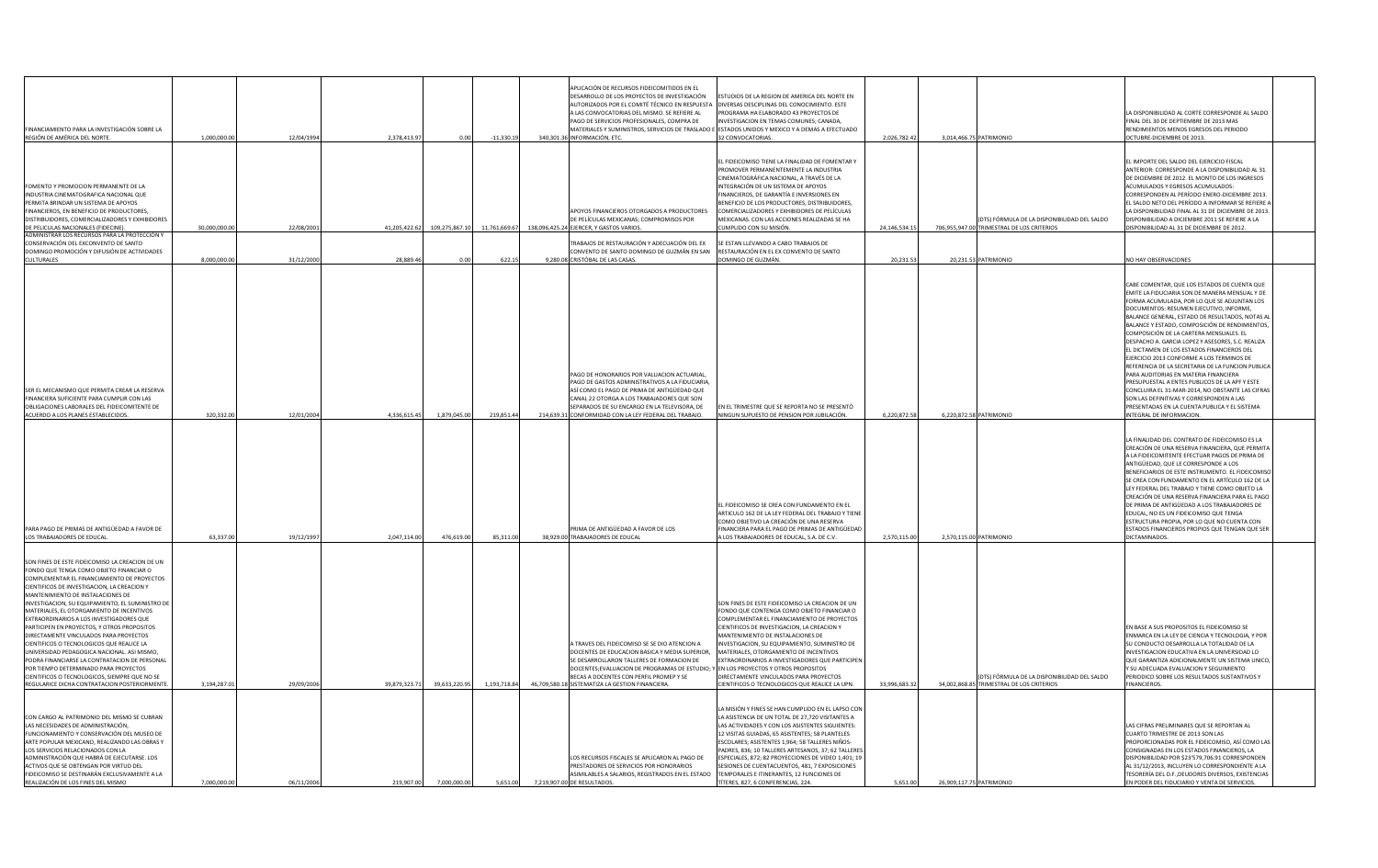| FINANCIAMIENTO PARA LA INVESTIGACIÓN SOBRE LA<br>REGIÓN DE AMÉRICA DEL NORTE.                                                                                                                                                                                                                                                                                                                                                                                                                                                                                                                                                                                                                                                                                                   | 1,000,000.00  | 12/04/1994 | 2,378,413.97<br>$-11,330.1$<br>0.00            | APLICACIÓN DE RECURSOS FIDEICOMITIDOS EN EL<br>DESARROLLO DE LOS PROYECTOS DE INVESTIGACIÓN<br>AUTORIZADOS POR EL COMITÉ TÉCNICO EN RESPUESTA<br>A LAS CONVOCATORIAS DEL MISMO. SE REFIERE AL<br>PAGO DE SERVICIOS PROFESIONALES, COMPRA DE<br>MATERIALES Y SUMINISTROS, SERVICIOS DE TRASLADO E ESTADOS UNIDOS Y MEXICO Y A DEMAS A EFECTUADO<br>340,301.36 INFORMACIÓN, ETC. | ESTUDIOS DE LA REGION DE AMERICA DEL NORTE EN<br>DIVERSAS DESCIPLINAS DEL CONOCIMIENTO. ESTE<br>PROGRAMA HA ELABORADO 43 PROYECTOS DE<br>INVESTIGACION EN TEMAS COMUNES; CANADA,<br>32 CONVOCATORIAS.                                                                                                                                                                                                                                                                                                              | 2,026,782.42  | 3,014,466.75 PATRIMONIO                                                                    | LA DISPONIBILIDAD AL CORTE CORRESPONDE AL SALDO<br>FINAL DEL 30 DE DEPTIEMBRE DE 2013 MAS<br>RENDIMIENTOS MENOS EGRESOS DEL PERIODO<br>OCTUBRE-DICIEMBRE DE 2013.                                                                                                                                                                                                                                                                                                                                                                                                                                                                                                                                                                                                                                                     |
|---------------------------------------------------------------------------------------------------------------------------------------------------------------------------------------------------------------------------------------------------------------------------------------------------------------------------------------------------------------------------------------------------------------------------------------------------------------------------------------------------------------------------------------------------------------------------------------------------------------------------------------------------------------------------------------------------------------------------------------------------------------------------------|---------------|------------|------------------------------------------------|--------------------------------------------------------------------------------------------------------------------------------------------------------------------------------------------------------------------------------------------------------------------------------------------------------------------------------------------------------------------------------|--------------------------------------------------------------------------------------------------------------------------------------------------------------------------------------------------------------------------------------------------------------------------------------------------------------------------------------------------------------------------------------------------------------------------------------------------------------------------------------------------------------------|---------------|--------------------------------------------------------------------------------------------|-----------------------------------------------------------------------------------------------------------------------------------------------------------------------------------------------------------------------------------------------------------------------------------------------------------------------------------------------------------------------------------------------------------------------------------------------------------------------------------------------------------------------------------------------------------------------------------------------------------------------------------------------------------------------------------------------------------------------------------------------------------------------------------------------------------------------|
| FOMENTO Y PROMOCION PERMANENTE DE LA<br>INDUSTRIA CINEMATOGRAFICA NACIONAL QUE<br>PERMITA BRINDAR UN SISTEMA DE APOYOS<br><b>FINANCIEROS, EN BENEFICIO DE PRODUCTORES,</b><br>DISTRIBUIDORES, COMERCIALIZADORES Y EXHIBIDORES<br>DE PELICULAS NACIONALES (FIDECINE).                                                                                                                                                                                                                                                                                                                                                                                                                                                                                                            | 30,000,000.00 | 22/08/200  | 41,205,422.62 109,275,867.10<br>11,761,669.6   | APOYOS FINANCIEROS OTORGADOS A PRODUCTORES<br>DE PELÍCULAS MEXICANAS; COMPROMISOS POR<br>138,096,425.24 EJERCER, Y GASTOS VARIOS.                                                                                                                                                                                                                                              | EL FIDEICOMISO TIENE LA FINALIDAD DE FOMENTAR Y<br><b>PROMOVER PERMANENTEMENTE LA INDUSTRIA</b><br>CINEMATOGRÁFICA NACIONAL, A TRAVÉS DE LA<br>INTEGRACIÓN DE UN SISTEMA DE APOYOS<br>FINANCIEROS, DE GARANTÍA E INVERSIONES EN<br>BENEFICIO DE LOS PRODUCTORES, DISTRIBUIDORES,<br>COMERCIALIZADORES Y EXHIBIDORES DE PELÍCULAS<br>MEXICANAS. CON LAS ACCIONES REALIZADAS SE HA<br>CUMPLIDO CON SU MISIÓN.                                                                                                        | 24,146,534.15 | (DTS) FÓRMULA DE LA DISPONIBILIDAD DEL SALDO<br>706,955,947.00 TRIMESTRAL DE LOS CRITERIOS | EL IMPORTE DEL SALDO DEL EJERCICIO FISCAL<br>ANTERIOR: CORRESPONDE A LA DISPONIBILIDAD AL 31<br>DE DICIEMBRE DE 2012. EL MONTO DE LOS INGRESOS<br><b>ACUMULADOS Y EGRESOS ACUMULADOS:</b><br>CORRESPONDEN AL PERÍODO ENERO-DICIEMBRE 2013<br>EL SALDO NETO DEL PERÍODO A INFORMAR SE REFIERE<br>LA DISPONIBILIDAD FINAL AL 31 DE DICIEMBRE DE 2013.<br>DISPONIBILIDAD A DICIEMBRE 2011 SE REFIERE A LA<br>DISPONIBILIDAD AL 31 DE DICIEMBRE DE 2012.                                                                                                                                                                                                                                                                                                                                                                  |
| ADMINISTRAR LOS RECURSOS PARA LA PROTECCIÓN Y<br>CONSERVACIÓN DEL EXCONVENTO DE SANTO<br>DOMINGO PROMOCIÓN Y DIFUSIÓN DE ACTIVIDADES<br><b>CULTURALES</b>                                                                                                                                                                                                                                                                                                                                                                                                                                                                                                                                                                                                                       | 8.000.000.00  | 31/12/2000 | 28,889.46<br>622.1<br>0.00                     | TRABAJOS DE RESTAURACIÓN Y ADECUACIÓN DEL EX<br>CONVENTO DE SANTO DOMINGO DE GUZMÁN EN SAN<br>9,280.08 CRISTÓBAL DE LAS CASAS                                                                                                                                                                                                                                                  | SE ESTAN LLEVANDO A CABO TRABAJOS DE<br>RESTAURACIÓN EN EL EX CONVENTO DE SANTO<br>DOMINGO DE GUZMÁN.                                                                                                                                                                                                                                                                                                                                                                                                              | 20,231.53     | 20,231.53 PATRIMONIO                                                                       | <b>NO HAY OBSERVACIONES</b>                                                                                                                                                                                                                                                                                                                                                                                                                                                                                                                                                                                                                                                                                                                                                                                           |
| <b>SER EL MECANISMO QUE PERMITA CREAR LA RESERVA</b><br>FINANCIERA SUFICIENTE PARA CUMPLIR CON LAS<br><b>OBLIGACIONES LABORALES DEL FIDEICOMITENTE DE</b><br>ACUERDO A LOS PLANES ESTABLECIDOS.                                                                                                                                                                                                                                                                                                                                                                                                                                                                                                                                                                                 | 320,332.00    | 12/01/2004 | 219,851.44<br>4,336,615.45<br>1,879,045.00     | PAGO DE HONORARIOS POR VALUACION ACTUARIAL,<br>PAGO DE GASTOS ADMINISTRATIVOS A LA FIDUCIARIA<br>ASÍ COMO EL PAGO DE PRIMA DE ANTIGÜEDAD QUE<br>CANAL 22 OTORGA A LOS TRABAJADORES QUE SON<br>SEPARADOS DE SU ENCARGO EN LA TELEVISORA, DE<br>214,639.31 CONFORMIDAD CON LA LEY FEDERAL DEL TRABAJO                                                                            | EN EL TRIMESTRE QUE SE REPORTA NO SE PRESENTÓ<br>NINGUN SUPUESTO DE PENSION POR JUBILACIÓN.                                                                                                                                                                                                                                                                                                                                                                                                                        | 6,220,872.58  | 6,220,872.58 PATRIMONIO                                                                    | CABE COMENTAR, QUE LOS ESTADOS DE CUENTA QUE<br>EMITE LA FIDUCIARIA SON DE MANERA MENSUAL Y DE<br>FORMA ACUMULADA, POR LO QUE SE ADJUNTAN LOS<br>DOCUMENTOS: RESUMEN EJECUTIVO, INFORME,<br>BALANCE GENERAL, ESTADO DE RESULTADOS, NOTAS AI<br>BALANCE Y ESTADO, COMPOSICIÓN DE RENDIMIENTOS,<br>COMPOSICIÓN DE LA CARTERA MENSUALES. EL<br>DESPACHO A. GARCIA LOPEZ Y ASESORES, S.C. REALIZA<br>EL DICTAMEN DE LOS ESTADOS FINANCIEROS DEL<br>EJERCICIO 2013 CONFORME A LOS TERMINOS DE<br>REFERENCIA DE LA SECRETARIA DE LA FUNCION PUBLICA<br>PARA AUDITORIAS EN MATERIA FINANCIERA<br>PRESUPUESTAL A ENTES PUBLICOS DE LA APF Y ESTE<br>CONCLUIRA EL 31-MAR-2014, NO OBSTANTE LAS CIFRAS<br>SON LAS DEFINITIVAS Y CORRESPONDEN A LAS<br>PRESENTADAS EN LA CUENTA PUBLICA Y EL SISTEMA<br>INTEGRAL DE INFORMACION. |
| PARA PAGO DE PRIMAS DE ANTIGÜEDAD A FAVOR DE<br>LOS TRABAJADORES DE EDUCAL.                                                                                                                                                                                                                                                                                                                                                                                                                                                                                                                                                                                                                                                                                                     | 63,337.00     | 19/12/1997 | 2,047,114.00<br>85,311.00<br>476,619.00        | <b>PRIMA DE ANTIGÜEDAD A FAVOR DE LOS</b><br>38,929.00 TRABAJADORES DE EDUCAL                                                                                                                                                                                                                                                                                                  | EL FIDEICOMISO SE CREA CON FUNDAMENTO EN EL<br>ARTICULO 162 DE LA LEY FEDERAL DEL TRABAJO Y TIENE<br>COMO OBJETIVO LA CREACIÓN DE UNA RESERVA<br>FINANCIERA PARA EL PAGO DE PRIMAS DE ANTIGÜEDAD<br>A LOS TRABAJADORES DE EDUCAL, S.A. DE C.V.                                                                                                                                                                                                                                                                     | 2,570,115.00  | 2,570,115.00 PATRIMONIO                                                                    | LA FINALIDAD DEL CONTRATO DE FIDEICOMISO ES LA<br>CREACIÓN DE UNA RESERVA FINANCIERA, QUE PERMITA<br>A LA FIDEICOMITENTE EFECTUAR PAGOS DE PRIMA DE<br>ANTIGÜEDAD, QUE LE CORRESPONDE A LOS<br>BENEFICIARIOS DE ESTE INSTRUMENTO. EL FIDEICOMISO<br>SE CREA CON FUNDAMENTO EN EL ARTÍCULO 162 DE LA<br>LEY FEDERAL DEL TRABAJO Y TIENE COMO OBJETO LA<br>CREACIÓN DE UNA RESERVA FINANCIERA PARA EL PAGO<br>DE PRIMA DE ANTIGÜEDAD A LOS TRABAJADORES DE<br>EDUCAL, NO ES UN FIDEICOMISO QUE TENGA<br>ESTRUCTURA PROPIA, POR LO QUE NO CUENTA CON<br>ESTADOS FINANCIEROS PROPIOS QUE TENGAN QUE SER<br>DICTAMINADOS.                                                                                                                                                                                                  |
| SON FINES DE ESTE FIDEICOMISO LA CREACION DE UN<br>FONDO QUE TENGA COMO OBJETO FINANCIAR O<br>COMPLEMENTAR EL FINANCIAMIENTO DE PROYECTOS<br>CIENTIFICOS DE INVESTIGACION, LA CREACION Y<br>MANTENIMIENTO DE INSTALACIONES DE<br>INVESTIGACION, SU EQUIPAMIENTO, EL SUMINISTRO DE<br>MATERIALES, EL OTORGAMIENTO DE INCENTIVOS<br>EXTRAORDINARIOS A LOS INVESTIGADORES QUE<br><b>PARTICIPEN EN PROYECTOS, Y OTROS PROPOSITOS</b><br><b>DIRECTAMENTE VINCULADOS PARA PROYECTOS</b><br>CIENTIFICOS O TECNOLOGICOS QUE REALICE LA<br>UNIVERSIDAD PEDAGOGICA NACIONAL. ASI MISMO,<br>PODRA FINANCIARSE LA CONTRATACION DE PERSONAL<br>POR TIEMPO DETERMINADO PARA PROYECTOS<br>CIENTIFICOS O TECNOLOGICOS, SIEMPRE QUE NO SE<br><b>REGULARICE DICHA CONTRATACION POSTERIORMENTE</b> | 3,194,287.01  | 29/09/2006 | 39,879,323.71<br>39,633,220.95<br>1,193,718.84 | A TRAVES DEL FIDEICOMISO SE SE DIO ATENCION A<br>DOCENTES DE EDUCACION BASICA Y MEDIA SUPERIOR,<br>SE DESARROLLARON TALLERES DE FORMACION DE<br>DOCENTES;EVALUACION DE PROGRAMAS DE ESTUDIO; Y EN LOS PROYECTOS Y OTROS PROPOSITOS<br>BECAS A DOCENTES CON PERFIL PROMEP Y SE<br>46,709,580.18 SISTEMATIZA LA GESTION FINANCIERA.                                              | SON FINES DE ESTE FIDEICOMISO LA CREACION DE UN<br>FONDO QUE CONTENGA COMO OBJETO FINANCIAR O<br>COMPLEMENTAR EL FINANCIAMIENTO DE PROYECTOS<br>CIENTIFICOS DE INVESTIGACION, LA CREACION Y<br>MANTENIMIENTO DE INSTALACIONES DE<br>INVESTIGACION, SU EQUIPAMIENTO, SUMINISTRO DE<br>MATERIALES, OTORGAMIENTO DE INCENTIVOS<br><b>EXTRAORDINARIOS A INVESTIGADORES QUE PARTICIPEN</b><br>DIRECTAMENTE VINCULADOS PARA PROYECTOS<br>CIENTIFICOS O TECNOLOGICOS QUE REALICE LA UPN.                                  | 33,996,683.32 | (DTS) FÓRMULA DE LA DISPONIBILIDAD DEL SALDO<br>34,002,868.85 TRIMESTRAL DE LOS CRITERIOS  | EN BASE A SUS PROPOSITOS EL FIDEICOMISO SE<br>ENMARCA EN LA LEY DE CIENCIA Y TECNOLOGIA, Y POR<br>SU CONDUCTO DESARROLLA LA TOTALIDAD DE LA<br>INVESTIGACION EDUCATIVA EN LA UNIVERSIDAD LO<br>QUE GARANTIZA ADICIONALMENTE UN SISTEMA UNICO<br>Y SU ADECUADA EVALUACION Y SEGUIMIENTO<br>PERIODICO SOBRE LOS RESULTADOS SUSTANTIVOS Y<br><b>FINANCIEROS.</b>                                                                                                                                                                                                                                                                                                                                                                                                                                                         |
| CON CARGO AL PATRIMONIO DEL MISMO SE CUBRAN<br>LAS NECESIDADES DE ADMINISTRACIÓN,<br>FUNCIONAMIENTO Y CONSERVACIÓN DEL MUSEO DE<br><b>JARTE POPULAR MEXICANO, REALIZANDO LAS OBRAS Y</b><br>LOS SERVICIOS RELACIONADOS CON LA<br>ADMINISTRACIÓN QUE HABRÁ DE EJECUTARSE. LOS<br><b>ACTIVOS QUE SE OBTENGAN POR VIRTUD DEL</b><br>FIDEICOMISO SE DESTINARÁN EXCLUSIVAMENTE A LA<br>REALIZACIÓN DE LOS FINES DEL MISMO                                                                                                                                                                                                                                                                                                                                                            | 7,000,000.00  | 06/11/2006 | 219,907.00<br>7,000,000.00<br>5,651.00         | LOS RECURSOS FISCALES SE APLICARON AL PAGO DE<br><b>PRESTADORES DE SERVICIOS POR HONORARIOS</b><br>ASIMILABLES A SALARIOS, REGISTRADOS EN EL ESTADO<br>7,219,907.00 DE RESULTADOS.                                                                                                                                                                                             | LA MISIÓN Y FINES SE HAN CUMPLIDO EN EL LAPSO CON<br>LA ASISTENCIA DE UN TOTAL DE 27,720 VISITANTES A<br>LAS ACTIVIDADES Y CON LOS ASISTENTES SIGUIENTES:<br>12 VISITAS GUIADAS, 65 ASISTENTES; 58 PLANTELES<br>ESCOLARES; ASISTENTES 1,964; 58 TALLERES NIÑOS-<br>PADRES, 836; 10 TALLERES ARTESANOS, 37; 62 TALLERES<br>ESPECIALES, 872; 82 PROYECCIONES DE VIDEO 1,401; 19<br>SESIONES DE CUENTACUENTOS, 481, 7 EXPOSICIONES<br>TEMPORALES E ITINERANTES, 12 FUNCIONES DE<br>TÍTERES, 827, 6 CONFERENCIAS, 224. | 5,651.00      | 26,909,117.75 PATRIMONIO                                                                   | LAS CIFRAS PRELIMINARES QUE SE REPORTAN AL<br>CUARTO TRIMESTRE DE 2013 SON LAS<br>PROPORCIONADAS POR EL FIDEICOMISO, ASÍ COMO LAS<br>CONSIGNADAS EN LOS ESTADOS FINANCIEROS, LA<br>DISPONIBILIDAD POR \$23'579,706.91 CORRESPONDEN<br>AL 31/12/2013, INCLUYEN LO CORRESPONDIENTE A LA<br>TESORERÍA DEL D.F.,DEUDORES DIVERSOS, EXISTENCIAS<br>EN PODER DEL FIDUCIARIO Y VENTA DE SERVICIOS.                                                                                                                                                                                                                                                                                                                                                                                                                           |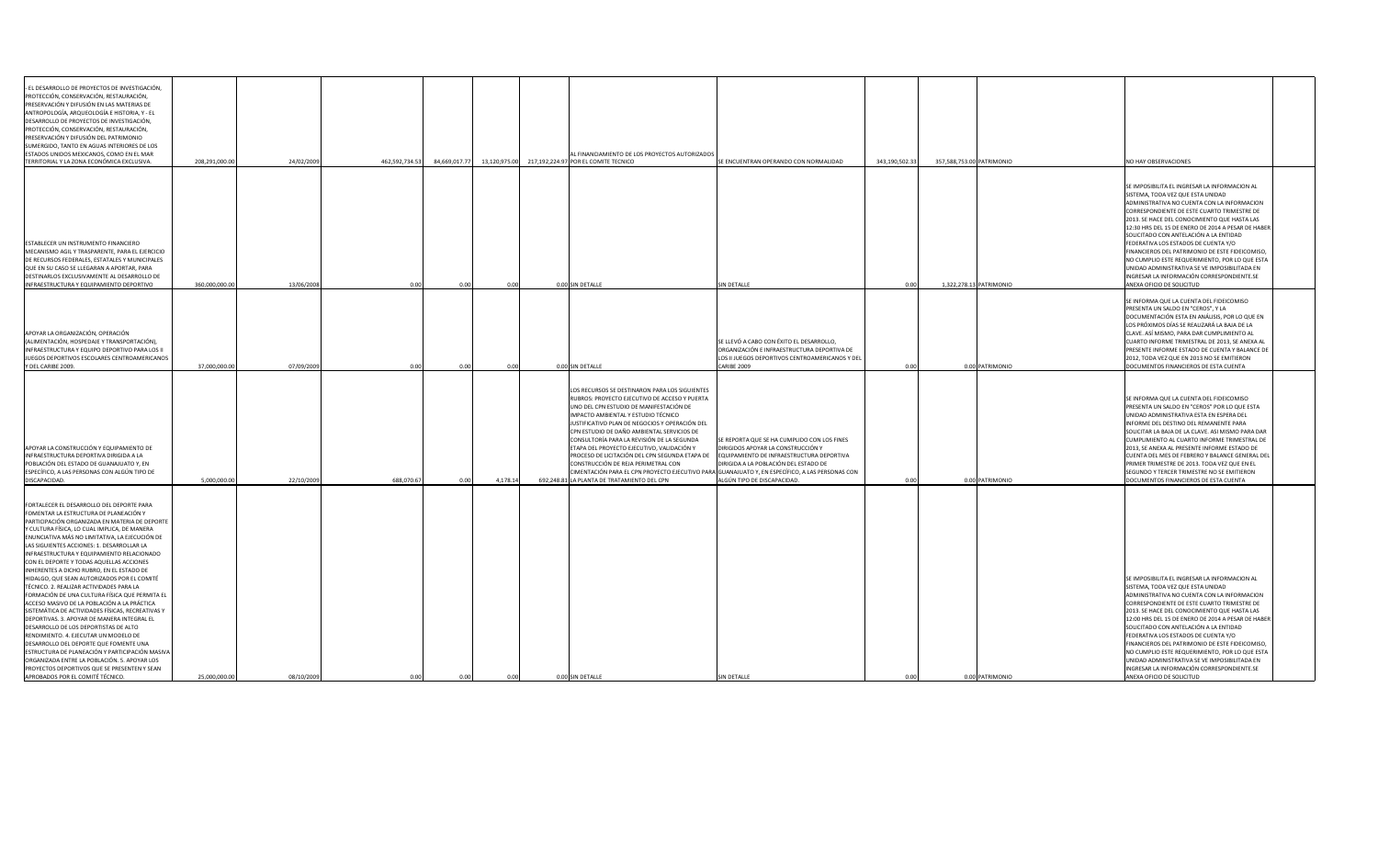| PROTECCIÓN, CONSERVACIÓN, RESTAURACIÓN,<br>PRESERVACIÓN Y DIFUSIÓN EN LAS MATERIAS DE<br>ANTROPOLOGÍA, ARQUEOLOGÍA E HISTORIA, Y - EL<br>SUMERGIDO, TANTO EN AGUAS INTERIORES DE LOS<br><b>ESTADOS UNIDOS MEXICANOS, COMO EN EL MAR</b><br>AL FINANCIAMIENTO DE LOS PROYECTOS AUTORIZADOS<br>TERRITORIAL Y LA ZONA ECONÓMICA EXCLUSIVA.<br>208,291,000.00<br>24/02/2009<br>462,592,734.53<br>84,669,017.77<br>13,120,975.00<br>343,190,502.<br>357,588,753.00 PATRIMONIO<br>NO HAY OBSERVACIONES<br>217,192,224.97 POR EL COMITE TECNICO<br>SE ENCUENTRAN OPERANDO CON NORMALIDAD<br>SISTEMA, TODA VEZ QUE ESTA UNIDAD<br>SOLICITADO CON ANTELACIÓN A LA ENTIDAD<br>FEDERATIVA LOS ESTADOS DE CUENTA Y/O<br>MECANISMO AGIL Y TRASPARENTE, PARA EL EJERCICIO<br>QUE EN SU CASO SE LLEGARAN A APORTAR, PARA<br>360,000,000.00<br>13/06/2008<br>1,322,278.13 PATRIMONIO<br>INFRAESTRUCTURA Y EQUIPAMIENTO DEPORTIVO<br>0.00 SIN DETALLE<br><b>SIN DETALLE</b><br>ANEXA OFICIO DE SOLICITUD<br>0.00<br>0.00<br>0.001<br>SE INFORMA QUE LA CUENTA DEL FIDEICOMISO<br><b>PRESENTA UN SALDO EN "CEROS", Y LA</b><br>APOYAR LA ORGANIZACIÓN, OPERACIÓN<br>SE LLEVÓ A CABO CON ÉXITO EL DESARROLLO,<br>ORGANIZACIÓN E INFRAESTRUCTURA DEPORTIVA DE<br>INFRAESTRUCTURA Y EQUIPO DEPORTIVO PARA LOS II<br>JUEGOS DEPORTIVOS ESCOLARES CENTROAMERICANOS<br>LOS II JUEGOS DEPORTIVOS CENTROAMERICANOS Y DEL<br>37,000,000.00<br><b>CARIBE 2009</b><br>07/09/2009<br>0.00 SIN DETALLE<br>0.00 PATRIMONIO<br>DOCUMENTOS FINANCIEROS DE ESTA CUENTA<br>0.00<br>0.00<br>0.00<br>0.001<br>LOS RECURSOS SE DESTINARON PARA LOS SIGUIENTES<br>RUBROS: PROYECTO EJECUTIVO DE ACCESO Y PUERTA<br>SE INFORMA QUE LA CUENTA DEL FIDEICOMISO<br>UNO DEL CPN ESTUDIO DE MANIFESTACIÓN DE<br>IMPACTO AMBIENTAL Y ESTUDIO TÉCNICO<br>UNIDAD ADMINISTRATIVA ESTA EN ESPERA DEL<br>JUSTIFICATIVO PLAN DE NEGOCIOS Y OPERACIÓN DEL<br>INFORME DEL DESTINO DEL REMANENTE PARA<br>CPN ESTUDIO DE DAÑO AMBIENTAL SERVICIOS DE<br>CONSULTORÍA PARA LA REVISIÓN DE LA SEGUNDA<br>SE REPORTA QUE SE HA CUMPLIDO CON LOS FINES<br>APOYAR LA CONSTRUCCIÓN Y EQUIPAMIENTO DE<br>ETAPA DEL PROYECTO EJECUTIVO, VALIDACIÓN Y<br>DIRIGIDOS APOYAR LA CONSTRUCCIÓN Y<br>PROCESO DE LICITACIÓN DEL CPN SEGUNDA ETAPA DE<br>EQUIPAMIENTO DE INFRAESTRUCTURA DEPORTIVA<br>CONSTRUCCIÓN DE REJA PERIMETRAL CON<br>DIRIGIDA A LA POBLACIÓN DEL ESTADO DE<br>ESPECÍFICO, A LAS PERSONAS CON ALGÚN TIPO DE<br>CIMENTACIÓN PARA EL CPN PROYECTO EJECUTIVO PARA GUANAJUATO Y, EN ESPECÍFICO, A LAS PERSONAS CON<br>ALGÚN TIPO DE DISCAPACIDAD.<br>0.00 PATRIMONIO<br>5,000,000.00<br>22/10/2009<br>688,070.67<br>4,178.14<br>692,248.81 LA PLANTA DE TRATAMIENTO DEL CPN<br>DOCUMENTOS FINANCIEROS DE ESTA CUENTA<br>DISCAPACIDAD.<br>0.00<br>0.001<br>FOMENTAR LA ESTRUCTURA DE PLANEACIÓN Y<br>Y CULTURA FÍSICA, LO CUAL IMPLICA, DE MANERA<br>INFRAESTRUCTURA Y EQUIPAMIENTO RELACIONADO<br>SISTEMA, TODA VEZ QUE ESTA UNIDAD<br>FORMACIÓN DE UNA CULTURA FÍSICA QUE PERMITA EL |                                                                                                                                                                                                                                                                                                                                                                                 |  |  |  |  |                                                                                                                                                                                                                                                                                                                                                                                                                                                       |  |
|-------------------------------------------------------------------------------------------------------------------------------------------------------------------------------------------------------------------------------------------------------------------------------------------------------------------------------------------------------------------------------------------------------------------------------------------------------------------------------------------------------------------------------------------------------------------------------------------------------------------------------------------------------------------------------------------------------------------------------------------------------------------------------------------------------------------------------------------------------------------------------------------------------------------------------------------------------------------------------------------------------------------------------------------------------------------------------------------------------------------------------------------------------------------------------------------------------------------------------------------------------------------------------------------------------------------------------------------------------------------------------------------------------------------------------------------------------------------------------------------------------------------------------------------------------------------------------------------------------------------------------------------------------------------------------------------------------------------------------------------------------------------------------------------------------------------------------------------------------------------------------------------------------------------------------------------------------------------------------------------------------------------------------------------------------------------------------------------------------------------------------------------------------------------------------------------------------------------------------------------------------------------------------------------------------------------------------------------------------------------------------------------------------------------------------------------------------------------------------------------------------------------------------------------------------------------------------------------------------------------------------------------------------------------------------------------------------------------------------------------------------------------------------------------------------------------------------------------------------------------------------------------------------------------------------------------------------------------------------------------------------------------------------|---------------------------------------------------------------------------------------------------------------------------------------------------------------------------------------------------------------------------------------------------------------------------------------------------------------------------------------------------------------------------------|--|--|--|--|-------------------------------------------------------------------------------------------------------------------------------------------------------------------------------------------------------------------------------------------------------------------------------------------------------------------------------------------------------------------------------------------------------------------------------------------------------|--|
| <b>ESTABLECER UN INSTRUMENTO FINANCIERO</b><br>DE RECURSOS FEDERALES, ESTATALES Y MUNICIPALES<br>DESTINARLOS EXCLUSIVAMENTE AL DESARROLLO DE<br>(ALIMENTACIÓN, HOSPEDAJE Y TRANSPORTACIÓN),<br>Y DEL CARIBE 2009.<br>INFRAESTRUCTURA DEPORTIVA DIRIGIDA A LA<br>POBLACIÓN DEL ESTADO DE GUANAJUATO Y, EN                                                                                                                                                                                                                                                                                                                                                                                                                                                                                                                                                                                                                                                                                                                                                                                                                                                                                                                                                                                                                                                                                                                                                                                                                                                                                                                                                                                                                                                                                                                                                                                                                                                                                                                                                                                                                                                                                                                                                                                                                                                                                                                                                                                                                                                                                                                                                                                                                                                                                                                                                                                                                                                                                                                      | - EL DESARROLLO DE PROYECTOS DE INVESTIGACIÓN,<br>DESARROLLO DE PROYECTOS DE INVESTIGACIÓN,<br>PROTECCIÓN, CONSERVACIÓN, RESTAURACIÓN,<br>PRESERVACIÓN Y DIFUSIÓN DEL PATRIMONIO                                                                                                                                                                                                |  |  |  |  |                                                                                                                                                                                                                                                                                                                                                                                                                                                       |  |
|                                                                                                                                                                                                                                                                                                                                                                                                                                                                                                                                                                                                                                                                                                                                                                                                                                                                                                                                                                                                                                                                                                                                                                                                                                                                                                                                                                                                                                                                                                                                                                                                                                                                                                                                                                                                                                                                                                                                                                                                                                                                                                                                                                                                                                                                                                                                                                                                                                                                                                                                                                                                                                                                                                                                                                                                                                                                                                                                                                                                                               |                                                                                                                                                                                                                                                                                                                                                                                 |  |  |  |  | SE IMPOSIBILITA EL INGRESAR LA INFORMACION AL<br>ADMINISTRATIVA NO CUENTA CON LA INFORMACION<br>CORRESPONDIENTE DE ESTE CUARTO TRIMESTRE DE<br>2013. SE HACE DEL CONOCIMIENTO QUE HASTA LAS<br>12:30 HRS DEL 15 DE ENERO DE 2014 A PESAR DE HABER<br>FINANCIEROS DEL PATRIMONIO DE ESTE FIDEICOMISO,<br>NO CUMPLIO ESTE REQUERIMIENTO, POR LO QUE ESTA<br>UNIDAD ADMINISTRATIVA SE VE IMPOSIBILITADA EN<br>INGRESAR LA INFORMACIÓN CORRESPONDIENTE.SE |  |
|                                                                                                                                                                                                                                                                                                                                                                                                                                                                                                                                                                                                                                                                                                                                                                                                                                                                                                                                                                                                                                                                                                                                                                                                                                                                                                                                                                                                                                                                                                                                                                                                                                                                                                                                                                                                                                                                                                                                                                                                                                                                                                                                                                                                                                                                                                                                                                                                                                                                                                                                                                                                                                                                                                                                                                                                                                                                                                                                                                                                                               |                                                                                                                                                                                                                                                                                                                                                                                 |  |  |  |  | DOCUMENTACIÓN ESTA EN ANÁLISIS, POR LO QUE EN<br>LOS PRÓXIMOS DÍAS SE REALIZARÁ LA BAJA DE LA<br>CLAVE. ASÍ MISMO, PARA DAR CUMPLIMIENTO AL<br>CUARTO INFORME TRIMESTRAL DE 2013, SE ANEXA AL<br><b>PRESENTE INFORME ESTADO DE CUENTA Y BALANCE DI</b><br>2012, TODA VEZ QUE EN 2013 NO SE EMITIERON                                                                                                                                                  |  |
|                                                                                                                                                                                                                                                                                                                                                                                                                                                                                                                                                                                                                                                                                                                                                                                                                                                                                                                                                                                                                                                                                                                                                                                                                                                                                                                                                                                                                                                                                                                                                                                                                                                                                                                                                                                                                                                                                                                                                                                                                                                                                                                                                                                                                                                                                                                                                                                                                                                                                                                                                                                                                                                                                                                                                                                                                                                                                                                                                                                                                               |                                                                                                                                                                                                                                                                                                                                                                                 |  |  |  |  | PRESENTA UN SALDO EN "CEROS" POR LO QUE ESTA<br>SOLICITAR LA BAJA DE LA CLAVE. ASI MISMO PARA DAR<br>CUMPLIMIENTO AL CUARTO INFORME TRIMESTRAL DE<br>2013, SE ANEXA AL PRESENTE INFORME ESTADO DE<br>CUENTA DEL MES DE FEBRERO Y BALANCE GENERAL DEL<br>PRIMER TRIMESTRE DE 2013. TODA VEZ QUE EN EL<br>SEGUNDO Y TERCER TRIMESTRE NO SE EMITIERON                                                                                                    |  |
| ACCESO MASIVO DE LA POBLACIÓN A LA PRÁCTICA<br>SISTEMÁTICA DE ACTIVIDADES FÍSICAS, RECREATIVAS Y<br>DEPORTIVAS. 3. APOYAR DE MANERA INTEGRAL EL<br>SOLICITADO CON ANTELACIÓN A LA ENTIDAD<br>DESARROLLO DE LOS DEPORTISTAS DE ALTO<br>RENDIMIENTO. 4. EJECUTAR UN MODELO DE<br>FEDERATIVA LOS ESTADOS DE CUENTA Y/O<br>DESARROLLO DEL DEPORTE QUE FOMENTE UNA<br>ESTRUCTURA DE PLANEACIÓN Y PARTICIPACIÓN MASIVA<br>ORGANIZADA ENTRE LA POBLACIÓN. 5. APOYAR LOS<br><b>PROYECTOS DEPORTIVOS QUE SE PRESENTEN Y SEAN</b><br>25,000,000.00<br>08/10/2009<br>APROBADOS POR EL COMITÉ TÉCNICO.<br>0.00 SIN DETALLE<br><b>SIN DETALLE</b><br>0.00 PATRIMONIO<br>ANEXA OFICIO DE SOLICITUD<br>0.00                                                                                                                                                                                                                                                                                                                                                                                                                                                                                                                                                                                                                                                                                                                                                                                                                                                                                                                                                                                                                                                                                                                                                                                                                                                                                                                                                                                                                                                                                                                                                                                                                                                                                                                                                                                                                                                                                                                                                                                                                                                                                                                                                                                                                                                                                                                                  | FORTALECER EL DESARROLLO DEL DEPORTE PARA<br>PARTICIPACIÓN ORGANIZADA EN MATERIA DE DEPORTE<br>ENUNCIATIVA MÁS NO LIMITATIVA, LA EJECUCIÓN DE<br>LAS SIGUIENTES ACCIONES: 1. DESARROLLAR LA<br>CON EL DEPORTE Y TODAS AQUELLAS ACCIONES<br>INHERENTES A DICHO RUBRO, EN EL ESTADO DE<br>HIDALGO, QUE SEAN AUTORIZADOS POR EL COMITÉ<br>TÉCNICO. 2. REALIZAR ACTIVIDADES PARA LA |  |  |  |  | SE IMPOSIBILITA EL INGRESAR LA INFORMACION AL<br>ADMINISTRATIVA NO CUENTA CON LA INFORMACION<br>CORRESPONDIENTE DE ESTE CUARTO TRIMESTRE DE<br>2013. SE HACE DEL CONOCIMIENTO QUE HASTA LAS<br>12:00 HRS DEL 15 DE ENERO DE 2014 A PESAR DE HABER<br>FINANCIEROS DEL PATRIMONIO DE ESTE FIDEICOMISO,<br>NO CUMPLIO ESTE REQUERIMIENTO, POR LO QUE ESTA<br>UNIDAD ADMINISTRATIVA SE VE IMPOSIBILITADA EN<br>INGRESAR LA INFORMACIÓN CORRESPONDIENTE.SE |  |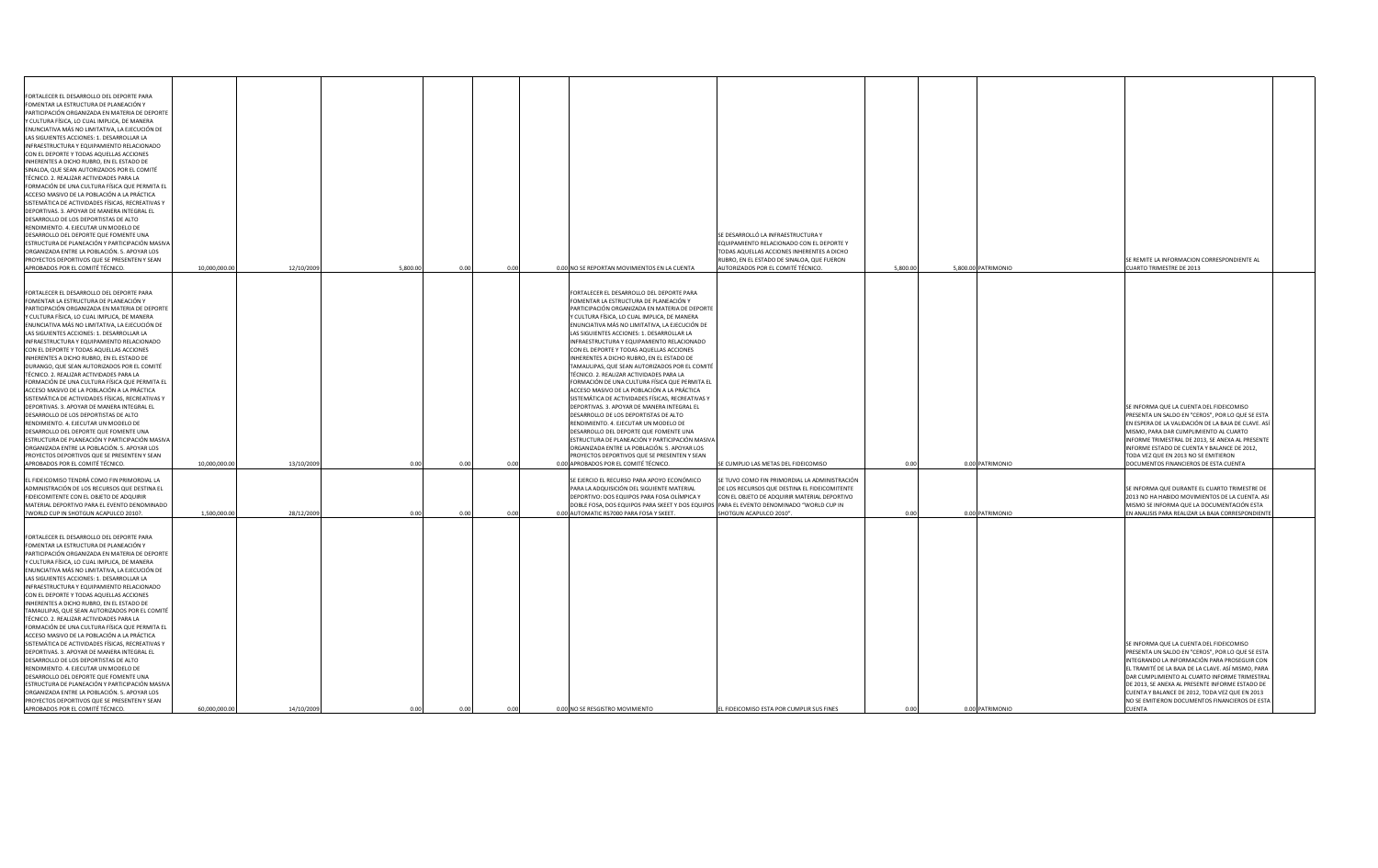| FORTALECER EL DESARROLLO DEL DEPORTE PARA<br>FOMENTAR LA ESTRUCTURA DE PLANEACIÓN Y<br>PARTICIPACIÓN ORGANIZADA EN MATERIA DE DEPORTE<br>Y CULTURA FÍSICA, LO CUAL IMPLICA, DE MANERA<br>ENUNCIATIVA MÁS NO LIMITATIVA, LA EJECUCIÓN DE<br>LAS SIGUIENTES ACCIONES: 1. DESARROLLAR LA<br>INFRAESTRUCTURA Y EQUIPAMIENTO RELACIONADO<br>CON EL DEPORTE Y TODAS AQUELLAS ACCIONES<br>INHERENTES A DICHO RUBRO, EN EL ESTADO DE<br>SINALOA, QUE SEAN AUTORIZADOS POR EL COMITÉ<br>TÉCNICO. 2. REALIZAR ACTIVIDADES PARA LA<br>FORMACIÓN DE UNA CULTURA FÍSICA QUE PERMITA EL<br>ACCESO MASIVO DE LA POBLACIÓN A LA PRÁCTICA<br>SISTEMÁTICA DE ACTIVIDADES FÍSICAS, RECREATIVAS Y<br>DEPORTIVAS. 3. APOYAR DE MANERA INTEGRAL EL<br>DESARROLLO DE LOS DEPORTISTAS DE ALTO<br>RENDIMIENTO. 4. EJECUTAR UN MODELO DE<br>DESARROLLO DEL DEPORTE QUE FOMENTE UNA<br>ESTRUCTURA DE PLANEACIÓN Y PARTICIPACIÓN MASIVA<br>ORGANIZADA ENTRE LA POBLACIÓN. 5. APOYAR LOS<br><b>PROYECTOS DEPORTIVOS QUE SE PRESENTEN Y SEAN</b><br>APROBADOS POR EL COMITÉ TÉCNICO. | 10,000,000.0 | 12/10/2009 | 5,800.00<br>0.00 | 0.00  | 0.00 NO SE REPORTAN MOVIMIENTOS EN LA CUENTA                                                                                                                                                                                                                                                                                                                                                                                                                                                                                                                                                                                                                                                                                                                                                                                                                                                                                                                                                                                                                   | SE DESARROLLÓ LA INFRAESTRUCTURA Y<br>EQUIPAMIENTO RELACIONADO CON EL DEPORTE Y<br>TODAS AQUELLAS ACCIONES INHERENTES A DICHO<br>RUBRO, EN EL ESTADO DE SINALOA, QUE FUERON<br>AUTORIZADOS POR EL COMITÉ TÉCNICO<br>5,800.00 |       | 5,800.00 PATRIMONIO | SE REMITE LA INFORMACION CORRESPONDIENTE AL<br><b>CUARTO TRIMESTRE DE 2013</b>                                                                                                                                                                                                                                                                                                                                              |
|--------------------------------------------------------------------------------------------------------------------------------------------------------------------------------------------------------------------------------------------------------------------------------------------------------------------------------------------------------------------------------------------------------------------------------------------------------------------------------------------------------------------------------------------------------------------------------------------------------------------------------------------------------------------------------------------------------------------------------------------------------------------------------------------------------------------------------------------------------------------------------------------------------------------------------------------------------------------------------------------------------------------------------------------------------|--------------|------------|------------------|-------|----------------------------------------------------------------------------------------------------------------------------------------------------------------------------------------------------------------------------------------------------------------------------------------------------------------------------------------------------------------------------------------------------------------------------------------------------------------------------------------------------------------------------------------------------------------------------------------------------------------------------------------------------------------------------------------------------------------------------------------------------------------------------------------------------------------------------------------------------------------------------------------------------------------------------------------------------------------------------------------------------------------------------------------------------------------|------------------------------------------------------------------------------------------------------------------------------------------------------------------------------------------------------------------------------|-------|---------------------|-----------------------------------------------------------------------------------------------------------------------------------------------------------------------------------------------------------------------------------------------------------------------------------------------------------------------------------------------------------------------------------------------------------------------------|
| FORTALECER EL DESARROLLO DEL DEPORTE PARA<br>FOMENTAR LA ESTRUCTURA DE PLANEACIÓN Y<br>PARTICIPACIÓN ORGANIZADA EN MATERIA DE DEPORTE<br>Y CULTURA FÍSICA, LO CUAL IMPLICA, DE MANERA<br>ENUNCIATIVA MÁS NO LIMITATIVA, LA EJECUCIÓN DE<br>LAS SIGUIENTES ACCIONES: 1. DESARROLLAR LA<br>INFRAESTRUCTURA Y EQUIPAMIENTO RELACIONADO<br>CON EL DEPORTE Y TODAS AQUELLAS ACCIONES<br>INHERENTES A DICHO RUBRO, EN EL ESTADO DE<br>DURANGO, QUE SEAN AUTORIZADOS POR EL COMITÉ<br>TÉCNICO. 2. REALIZAR ACTIVIDADES PARA LA<br>FORMACIÓN DE UNA CULTURA FÍSICA QUE PERMITA EL<br>ACCESO MASIVO DE LA POBLACIÓN A LA PRÁCTICA<br>SISTEMÁTICA DE ACTIVIDADES FÍSICAS, RECREATIVAS Y<br>DEPORTIVAS. 3. APOYAR DE MANERA INTEGRAL EL<br>DESARROLLO DE LOS DEPORTISTAS DE ALTO<br>RENDIMIENTO. 4. EJECUTAR UN MODELO DE<br>DESARROLLO DEL DEPORTE QUE FOMENTE UNA<br>ESTRUCTURA DE PLANEACIÓN Y PARTICIPACIÓN MASIVA<br>ORGANIZADA ENTRE LA POBLACIÓN. 5. APOYAR LOS<br><b>PROYECTOS DEPORTIVOS QUE SE PRESENTEN Y SEAN</b><br>APROBADOS POR EL COMITÉ TÉCNICO. | 10,000,000.0 | 13/10/2009 |                  | -0.00 | FORTALECER EL DESARROLLO DEL DEPORTE PARA<br>FOMENTAR LA ESTRUCTURA DE PLANEACIÓN Y<br>PARTICIPACIÓN ORGANIZADA EN MATERIA DE DEPORTE<br>Y CULTURA FÍSICA, LO CUAL IMPLICA, DE MANERA<br>ENUNCIATIVA MÁS NO LIMITATIVA, LA EJECUCIÓN DE<br>LAS SIGUIENTES ACCIONES: 1. DESARROLLAR LA<br>INFRAESTRUCTURA Y EQUIPAMIENTO RELACIONADO<br>CON EL DEPORTE Y TODAS AQUELLAS ACCIONES<br>INHERENTES A DICHO RUBRO, EN EL ESTADO DE<br>TAMAULIPAS, QUE SEAN AUTORIZADOS POR EL COMITÉ<br>TÉCNICO. 2. REALIZAR ACTIVIDADES PARA LA<br>FORMACIÓN DE UNA CULTURA FÍSICA QUE PERMITA EL<br>ACCESO MASIVO DE LA POBLACIÓN A LA PRÁCTICA<br>SISTEMÁTICA DE ACTIVIDADES FÍSICAS, RECREATIVAS Y<br>DEPORTIVAS. 3. APOYAR DE MANERA INTEGRAL EL<br>DESARROLLO DE LOS DEPORTISTAS DE ALTO<br>RENDIMIENTO. 4. EJECUTAR UN MODELO DE<br>DESARROLLO DEL DEPORTE QUE FOMENTE UNA<br>ESTRUCTURA DE PLANEACIÓN Y PARTICIPACIÓN MASIVA<br>ORGANIZADA ENTRE LA POBLACIÓN. 5. APOYAR LOS<br><b>PROYECTOS DEPORTIVOS QUE SE PRESENTEN Y SEAN</b><br>0.00 APROBADOS POR EL COMITÉ TÉCNICO. | SE CUMPLIO LAS METAS DEL FIDEICOMISO                                                                                                                                                                                         |       | 0.00 PATRIMONIO     | SE INFORMA QUE LA CUENTA DEL FIDEICOMISO<br><b>PRESENTA UN SALDO EN "CEROS", POR LO QUE SE ESTA</b><br>EN ESPERA DE LA VALIDACIÓN DE LA BAJA DE CLAVE. AS<br>MISMO, PARA DAR CUMPLIMIENTO AL CUARTO<br>INFORME TRIMESTRAL DE 2013, SE ANEXA AL PRESENTE<br>INFORME ESTADO DE CUENTA Y BALANCE DE 2012,<br>TODA VEZ QUE EN 2013 NO SE EMITIERON<br>DOCUMENTOS FINANCIEROS DE ESTA CUENTA                                     |
| EL FIDEICOMISO TENDRÁ COMO FIN PRIMORDIAL LA<br>ADMINISTRACIÓN DE LOS RECURSOS QUE DESTINA EL<br><b>FIDEICOMITENTE CON EL OBJETO DE ADQUIRIR</b><br>MATERIAL DEPORTIVO PARA EL EVENTO DENOMINADO<br><b>PWORLD CUP IN SHOTGUN ACAPULCO 2010?.</b>                                                                                                                                                                                                                                                                                                                                                                                                                                                                                                                                                                                                                                                                                                                                                                                                       | 1,500,000.0  | 28/12/2009 | 0.00<br>0.00     | 0.00  | SE EJERCIO EL RECURSO PARA APOYO ECONÓMICO<br>PARA LA ADQUISICIÓN DEL SIGUIENTE MATERIAL<br>DEPORTIVO: DOS EQUIPOS PARA FOSA OLÍMPICA Y<br>DOBLE FOSA, DOS EQUIPOS PARA SKEET Y DOS EQUIPOS PARA EL EVENTO DENOMINADO "WORLD CUP IN<br>0.00 AUTOMATIC RS7000 PARA FOSA Y SKEET.                                                                                                                                                                                                                                                                                                                                                                                                                                                                                                                                                                                                                                                                                                                                                                                | SE TUVO COMO FIN PRIMORDIAL LA ADMINISTRACIÓN<br>DE LOS RECURSOS QUE DESTINA EL FIDEICOMITENTE<br>CON EL OBJETO DE ADQUIRIR MATERIAL DEPORTIVO<br>SHOTGUN ACAPULCO 2010"                                                     | 0.001 | 0.00 PATRIMONIO     | SE INFORMA QUE DURANTE EL CUARTO TRIMESTRE DE<br>2013 NO HA HABIDO MOVIMIENTOS DE LA CUENTA. ASI<br>MISMO SE INFORMA QUE LA DOCUMENTACIÓN ESTA<br>EN ANALISIS PARA REALIZAR LA BAJA CORRESPONDIENT                                                                                                                                                                                                                          |
| FORTALECER EL DESARROLLO DEL DEPORTE PARA<br>FOMENTAR LA ESTRUCTURA DE PLANEACIÓN Y<br>PARTICIPACIÓN ORGANIZADA EN MATERIA DE DEPORTE<br>Y CULTURA FÍSICA, LO CUAL IMPLICA, DE MANERA<br>ENUNCIATIVA MÁS NO LIMITATIVA, LA EJECUCIÓN DE<br>LAS SIGUIENTES ACCIONES: 1. DESARROLLAR LA<br>INFRAESTRUCTURA Y EQUIPAMIENTO RELACIONADO<br>CON EL DEPORTE Y TODAS AQUELLAS ACCIONES<br>INHERENTES A DICHO RUBRO, EN EL ESTADO DE<br>TAMAULIPAS, QUE SEAN AUTORIZADOS POR EL COMITÉ<br>TÉCNICO. 2. REALIZAR ACTIVIDADES PARA LA<br>FORMACIÓN DE UNA CULTURA FÍSICA QUE PERMITA EL<br>ACCESO MASIVO DE LA POBLACIÓN A LA PRÁCTICA<br>SISTEMÁTICA DE ACTIVIDADES FÍSICAS, RECREATIVAS Y<br>DEPORTIVAS. 3. APOYAR DE MANERA INTEGRAL EL<br>DESARROLLO DE LOS DEPORTISTAS DE ALTO<br>RENDIMIENTO. 4. EJECUTAR UN MODELO DE<br>DESARROLLO DEL DEPORTE QUE FOMENTE UNA<br>ESTRUCTURA DE PLANEACIÓN Y PARTICIPACIÓN MASIVA<br>ORGANIZADA ENTRE LA POBLACIÓN. 5. APOYAR LOS<br>PROYECTOS DEPORTIVOS QUE SE PRESENTEN Y SEAN<br>APROBADOS POR EL COMITÉ TÉCNICO.     | 60,000,000.0 | 14/10/2009 | 0.00<br>0.00     | 0.00  | 0.00 NO SE RESGISTRO MOVIMIENTO                                                                                                                                                                                                                                                                                                                                                                                                                                                                                                                                                                                                                                                                                                                                                                                                                                                                                                                                                                                                                                | EL FIDEICOMISO ESTA POR CUMPLIR SUS FINES<br>0.00                                                                                                                                                                            |       | 0.00 PATRIMONIO     | SE INFORMA QUE LA CUENTA DEL FIDEICOMISO<br>PRESENTA UN SALDO EN "CEROS", POR LO QUE SE ESTA<br>INTEGRANDO LA INFORMACIÓN PARA PROSEGUIR CON<br>EL TRAMITÉ DE LA BAJA DE LA CLAVE. ASÍ MISMO, PARA<br>DAR CUMPLIMIENTO AL CUARTO INFORME TRIMESTRAL<br>DE 2013, SE ANEXA AL PRESENTE INFORME ESTADO DE<br>CUENTA Y BALANCE DE 2012, TODA VEZ QUE EN 2013<br>NO SE EMITIERON DOCUMENTOS FINANCIEROS DE ESTA<br><b>CUENTA</b> |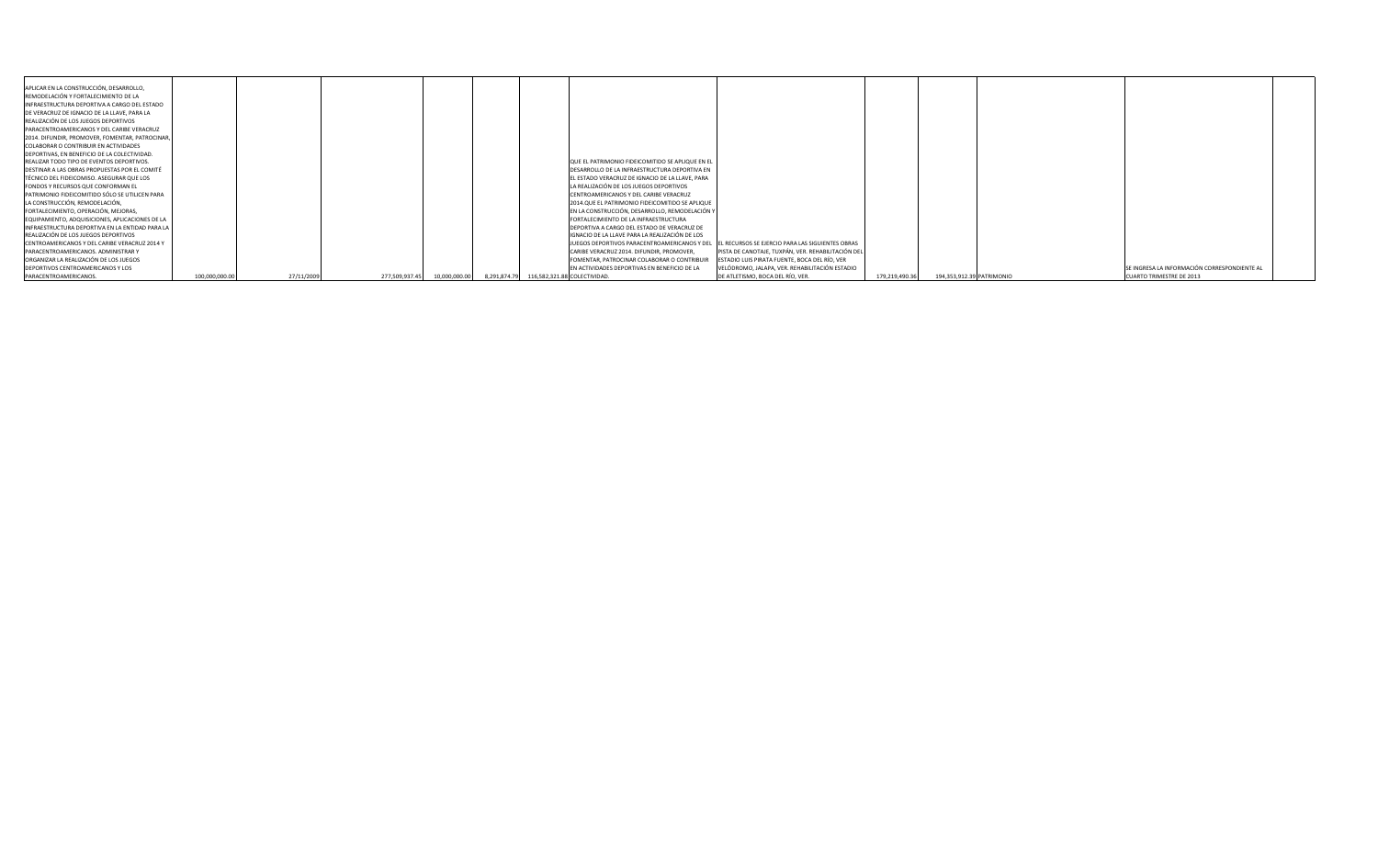| APLICAR EN LA CONSTRUCCIÓN, DESARROLLO,           |               |            |                                 |                                                                                                 |                                                    |                |                           |                                              |
|---------------------------------------------------|---------------|------------|---------------------------------|-------------------------------------------------------------------------------------------------|----------------------------------------------------|----------------|---------------------------|----------------------------------------------|
| REMODELACIÓN Y FORTALECIMIENTO DE LA              |               |            |                                 |                                                                                                 |                                                    |                |                           |                                              |
| INFRAESTRUCTURA DEPORTIVA A CARGO DEL ESTADO      |               |            |                                 |                                                                                                 |                                                    |                |                           |                                              |
| DE VERACRUZ DE IGNACIO DE LA LLAVE, PARA LA       |               |            |                                 |                                                                                                 |                                                    |                |                           |                                              |
| REALIZACIÓN DE LOS JUEGOS DEPORTIVOS              |               |            |                                 |                                                                                                 |                                                    |                |                           |                                              |
| <b>PARACENTROAMERICANOS Y DEL CARIBE VERACRUZ</b> |               |            |                                 |                                                                                                 |                                                    |                |                           |                                              |
| [2014. DIFUNDIR, PROMOVER, FOMENTAR, PATROCINAR,  |               |            |                                 |                                                                                                 |                                                    |                |                           |                                              |
| COLABORAR O CONTRIBUIR EN ACTIVIDADES             |               |            |                                 |                                                                                                 |                                                    |                |                           |                                              |
| DEPORTIVAS, EN BENEFICIO DE LA COLECTIVIDAD.      |               |            |                                 |                                                                                                 |                                                    |                |                           |                                              |
| REALIZAR TODO TIPO DE EVENTOS DEPORTIVOS.         |               |            |                                 | QUE EL PATRIMONIO FIDEICOMITIDO SE APLIQUE EN EL                                                |                                                    |                |                           |                                              |
| DESTINAR A LAS OBRAS PROPUESTAS POR EL COMITÉ     |               |            |                                 | DESARROLLO DE LA INFRAESTRUCTURA DEPORTIVA EN                                                   |                                                    |                |                           |                                              |
| TÉCNICO DEL FIDEICOMISO. ASEGURAR QUE LOS         |               |            |                                 | EL ESTADO VERACRUZ DE IGNACIO DE LA LLAVE, PARA                                                 |                                                    |                |                           |                                              |
| FONDOS Y RECURSOS QUE CONFORMAN EL                |               |            |                                 | LA REALIZACIÓN DE LOS JUEGOS DEPORTIVOS                                                         |                                                    |                |                           |                                              |
| PATRIMONIO FIDEICOMITIDO SÓLO SE UTILICEN PARA    |               |            |                                 | CENTROAMERICANOS Y DEL CARIBE VERACRUZ                                                          |                                                    |                |                           |                                              |
| LA CONSTRUCCIÓN, REMODELACIÓN,                    |               |            |                                 | 2014.QUE EL PATRIMONIO FIDEICOMITIDO SE APLIQUE                                                 |                                                    |                |                           |                                              |
| FORTALECIMIENTO, OPERACIÓN, MEJORAS,              |               |            |                                 | EN LA CONSTRUCCIÓN, DESARROLLO, REMODELACIÓN Y                                                  |                                                    |                |                           |                                              |
| EQUIPAMIENTO, ADQUISICIONES, APLICACIONES DE LA   |               |            |                                 | FORTALECIMIENTO DE LA INFRAESTRUCTURA                                                           |                                                    |                |                           |                                              |
| INFRAESTRUCTURA DEPORTIVA EN LA ENTIDAD PARA LA   |               |            |                                 | DEPORTIVA A CARGO DEL ESTADO DE VERACRUZ DE                                                     |                                                    |                |                           |                                              |
| REALIZACIÓN DE LOS JUEGOS DEPORTIVOS              |               |            |                                 | IGNACIO DE LA LLAVE PARA LA REALIZACIÓN DE LOS                                                  |                                                    |                |                           |                                              |
| CENTROAMERICANOS Y DEL CARIBE VERACRUZ 2014 Y     |               |            |                                 | JJUEGOS DEPORTIVOS PARACENTROAMERICANOS Y DEL IEL RECURSOS SE EJERCIO PARA LAS SIGUIENTES OBRAS |                                                    |                |                           |                                              |
| PARACENTROAMERICANOS. ADMINISTRAR Y               |               |            |                                 | CARIBE VERACRUZ 2014. DIFUNDIR, PROMOVER,                                                       | PISTA DE CANOTAJE, TUXPÁN, VER. REHABILITACIÓN DEL |                |                           |                                              |
| ORGANIZAR LA REALIZACIÓN DE LOS JUEGOS            |               |            |                                 | FOMENTAR, PATROCINAR COLABORAR O CONTRIBUIR                                                     | ESTADIO LUIS PIRATA FUENTE, BOCA DEL RÍO, VER      |                |                           |                                              |
| <b>DEPORTIVOS CENTROAMERICANOS Y LOS</b>          |               |            |                                 | EN ACTIVIDADES DEPORTIVAS EN BENEFICIO DE LA                                                    | VELÓDROMO, JALAPA, VER. REHABILITACIÓN ESTADIO     |                |                           | SE INGRESA LA INFORMACIÓN CORRESPONDIENTE AL |
| PARACENTROAMERICANOS.                             | 100,000,000.0 | 27/11/2009 | 277,509,937.45<br>10,000,000.00 |                                                                                                 | DE ATLETISMO, BOCA DEL RÍO, VER.                   | 179,219,490.36 | 194,353,912.39 PATRIMONIO | <b>CUARTO TRIMESTRE DE 2013</b>              |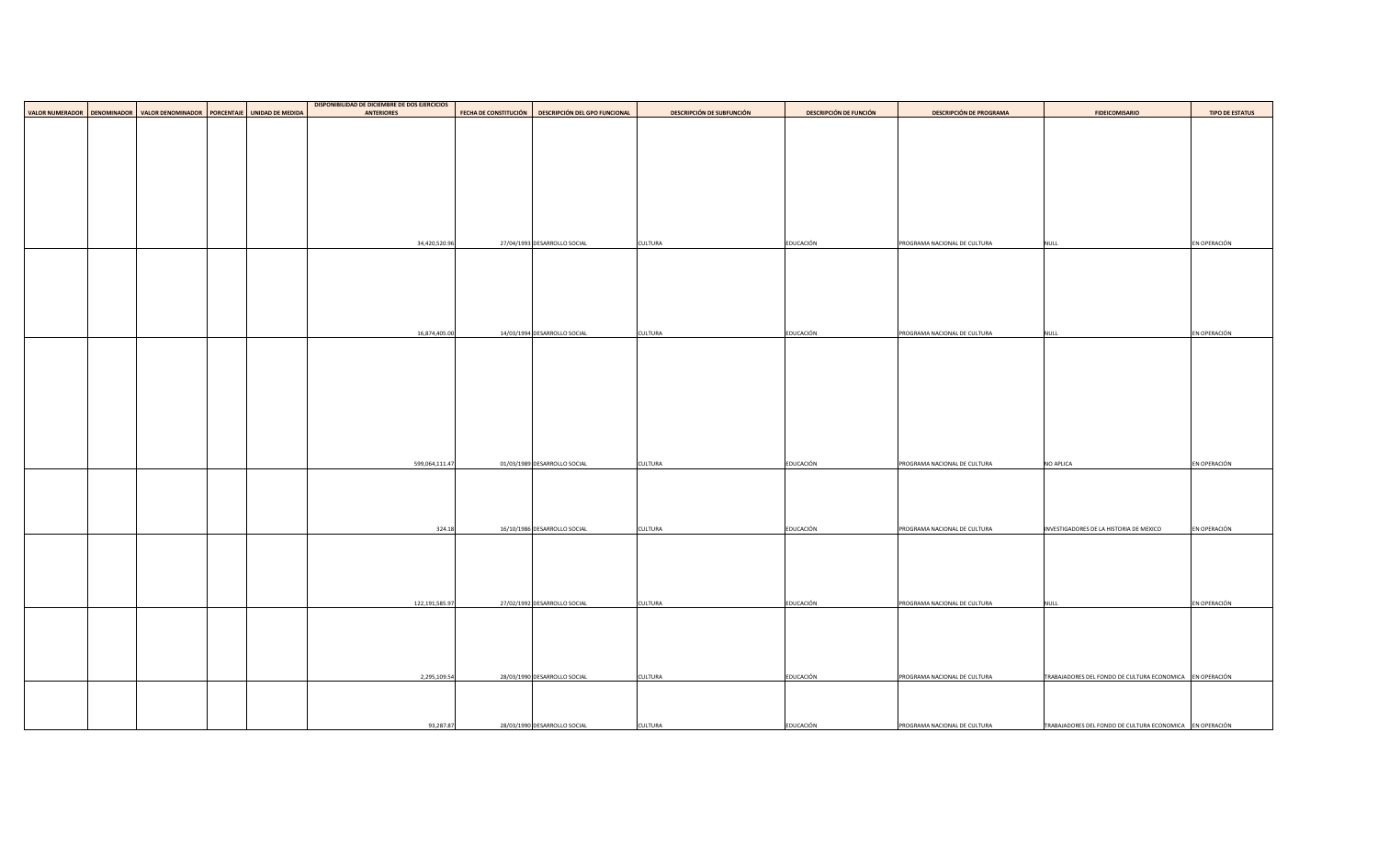|                                                                                   |  | <b>DISPONIBILIDAD DE DICIEMBRE DE DOS EJERCICIOS</b> |                |                              |                                      |                                  |                               |                                |                                                           |                        |
|-----------------------------------------------------------------------------------|--|------------------------------------------------------|----------------|------------------------------|--------------------------------------|----------------------------------|-------------------------------|--------------------------------|-----------------------------------------------------------|------------------------|
| VALOR NUMERADOR   DENOMINADOR   VALOR DENOMINADOR   PORCENTAJE   UNIDAD DE MEDIDA |  | <b>ANTERIORES</b>                                    |                | <b>FECHA DE CONSTITUCIÓN</b> | <b>DESCRIPCIÓN DEL GPO FUNCIONAL</b> | <b>DESCRIPCIÓN DE SUBFUNCIÓN</b> | <b>DESCRIPCIÓN DE FUNCIÓN</b> | <b>DESCRIPCIÓN DE PROGRAMA</b> | <b>FIDEICOMISARIO</b>                                     | <b>TIPO DE ESTATUS</b> |
|                                                                                   |  |                                                      |                |                              |                                      |                                  |                               |                                |                                                           |                        |
|                                                                                   |  |                                                      |                |                              |                                      |                                  |                               |                                |                                                           |                        |
|                                                                                   |  |                                                      |                |                              |                                      |                                  |                               |                                |                                                           |                        |
|                                                                                   |  |                                                      |                |                              |                                      |                                  |                               |                                |                                                           |                        |
|                                                                                   |  |                                                      |                |                              |                                      |                                  |                               |                                |                                                           |                        |
|                                                                                   |  |                                                      |                |                              |                                      |                                  |                               |                                |                                                           |                        |
|                                                                                   |  |                                                      |                |                              |                                      |                                  |                               |                                |                                                           |                        |
|                                                                                   |  |                                                      |                |                              |                                      |                                  |                               |                                |                                                           |                        |
|                                                                                   |  |                                                      |                |                              |                                      |                                  |                               |                                |                                                           |                        |
|                                                                                   |  |                                                      |                |                              |                                      |                                  |                               |                                |                                                           |                        |
|                                                                                   |  |                                                      |                |                              |                                      |                                  |                               |                                |                                                           |                        |
|                                                                                   |  |                                                      |                |                              |                                      |                                  |                               |                                |                                                           |                        |
|                                                                                   |  |                                                      | 34,420,520.96  |                              | 27/04/1993 DESARROLLO SOCIAL         | <b>CULTURA</b>                   | EDUCACIÓN                     | PROGRAMA NACIONAL DE CULTURA   | <b>NULL</b>                                               | EN OPERACIÓN           |
|                                                                                   |  |                                                      |                |                              |                                      |                                  |                               |                                |                                                           |                        |
|                                                                                   |  |                                                      |                |                              |                                      |                                  |                               |                                |                                                           |                        |
|                                                                                   |  |                                                      |                |                              |                                      |                                  |                               |                                |                                                           |                        |
|                                                                                   |  |                                                      |                |                              |                                      |                                  |                               |                                |                                                           |                        |
|                                                                                   |  |                                                      |                |                              |                                      |                                  |                               |                                |                                                           |                        |
|                                                                                   |  |                                                      |                |                              |                                      |                                  |                               |                                |                                                           |                        |
|                                                                                   |  |                                                      |                |                              |                                      |                                  |                               |                                |                                                           |                        |
|                                                                                   |  |                                                      |                |                              |                                      |                                  |                               |                                |                                                           |                        |
|                                                                                   |  |                                                      | 16,874,405.00  |                              | 14/03/1994 DESARROLLO SOCIAL         | <b>CULTURA</b>                   | EDUCACIÓN                     | PROGRAMA NACIONAL DE CULTURA   | <b>NULL</b>                                               | EN OPERACIÓN           |
|                                                                                   |  |                                                      |                |                              |                                      |                                  |                               |                                |                                                           |                        |
|                                                                                   |  |                                                      |                |                              |                                      |                                  |                               |                                |                                                           |                        |
|                                                                                   |  |                                                      |                |                              |                                      |                                  |                               |                                |                                                           |                        |
|                                                                                   |  |                                                      |                |                              |                                      |                                  |                               |                                |                                                           |                        |
|                                                                                   |  |                                                      |                |                              |                                      |                                  |                               |                                |                                                           |                        |
|                                                                                   |  |                                                      |                |                              |                                      |                                  |                               |                                |                                                           |                        |
|                                                                                   |  |                                                      |                |                              |                                      |                                  |                               |                                |                                                           |                        |
|                                                                                   |  |                                                      |                |                              |                                      |                                  |                               |                                |                                                           |                        |
|                                                                                   |  |                                                      |                |                              |                                      |                                  |                               |                                |                                                           |                        |
|                                                                                   |  |                                                      |                |                              |                                      |                                  |                               |                                |                                                           |                        |
|                                                                                   |  |                                                      |                |                              |                                      |                                  |                               |                                |                                                           |                        |
|                                                                                   |  |                                                      |                |                              |                                      |                                  |                               |                                |                                                           |                        |
|                                                                                   |  |                                                      |                |                              |                                      |                                  |                               |                                |                                                           | EN OPERACIÓN           |
|                                                                                   |  |                                                      | 599,064,111.47 |                              | 01/03/1989 DESARROLLO SOCIAL         | <b>CULTURA</b>                   | EDUCACIÓN                     | PROGRAMA NACIONAL DE CULTURA   | <b>NO APLICA</b>                                          |                        |
|                                                                                   |  |                                                      |                |                              |                                      |                                  |                               |                                |                                                           |                        |
|                                                                                   |  |                                                      |                |                              |                                      |                                  |                               |                                |                                                           |                        |
|                                                                                   |  |                                                      |                |                              |                                      |                                  |                               |                                |                                                           |                        |
|                                                                                   |  |                                                      |                |                              |                                      |                                  |                               |                                |                                                           |                        |
|                                                                                   |  |                                                      |                |                              |                                      |                                  |                               |                                |                                                           |                        |
|                                                                                   |  |                                                      | 324.18         |                              | 16/10/1986 DESARROLLO SOCIAL         | <b>CULTURA</b>                   | EDUCACIÓN                     | PROGRAMA NACIONAL DE CULTURA   | INVESTIGADORES DE LA HISTORIA DE MEXICO                   | EN OPERACIÓN           |
|                                                                                   |  |                                                      |                |                              |                                      |                                  |                               |                                |                                                           |                        |
|                                                                                   |  |                                                      |                |                              |                                      |                                  |                               |                                |                                                           |                        |
|                                                                                   |  |                                                      |                |                              |                                      |                                  |                               |                                |                                                           |                        |
|                                                                                   |  |                                                      |                |                              |                                      |                                  |                               |                                |                                                           |                        |
|                                                                                   |  |                                                      |                |                              |                                      |                                  |                               |                                |                                                           |                        |
|                                                                                   |  |                                                      |                |                              |                                      |                                  |                               |                                |                                                           |                        |
|                                                                                   |  |                                                      |                |                              |                                      |                                  |                               |                                |                                                           |                        |
|                                                                                   |  |                                                      | 122,191,585.97 |                              | 27/02/1992 DESARROLLO SOCIAL         | <b>CULTURA</b>                   | EDUCACIÓN                     | PROGRAMA NACIONAL DE CULTURA   | <b>NULL</b>                                               | EN OPERACIÓN           |
|                                                                                   |  |                                                      |                |                              |                                      |                                  |                               |                                |                                                           |                        |
|                                                                                   |  |                                                      |                |                              |                                      |                                  |                               |                                |                                                           |                        |
|                                                                                   |  |                                                      |                |                              |                                      |                                  |                               |                                |                                                           |                        |
|                                                                                   |  |                                                      |                |                              |                                      |                                  |                               |                                |                                                           |                        |
|                                                                                   |  |                                                      |                |                              |                                      |                                  |                               |                                |                                                           |                        |
|                                                                                   |  |                                                      |                |                              |                                      |                                  |                               |                                |                                                           |                        |
|                                                                                   |  |                                                      | 2,295,109.54   |                              | 28/03/1990 DESARROLLO SOCIAL         | <b>CULTURA</b>                   | EDUCACIÓN                     | PROGRAMA NACIONAL DE CULTURA   | TRABAJADORES DEL FONDO DE CULTURA ECONOMICA FEN OPERACIÓN |                        |
|                                                                                   |  |                                                      |                |                              |                                      |                                  |                               |                                |                                                           |                        |
|                                                                                   |  |                                                      |                |                              |                                      |                                  |                               |                                |                                                           |                        |
|                                                                                   |  |                                                      |                |                              |                                      |                                  |                               |                                |                                                           |                        |
|                                                                                   |  |                                                      |                |                              |                                      |                                  |                               |                                |                                                           |                        |
|                                                                                   |  |                                                      | 93,287.87      |                              | 28/03/1990 DESARROLLO SOCIAL         | <b>CULTURA</b>                   | EDUCACIÓN                     | PROGRAMA NACIONAL DE CULTURA   | TRABAJADORES DEL FONDO DE CULTURA ECONOMICA EN OPERACIÓN  |                        |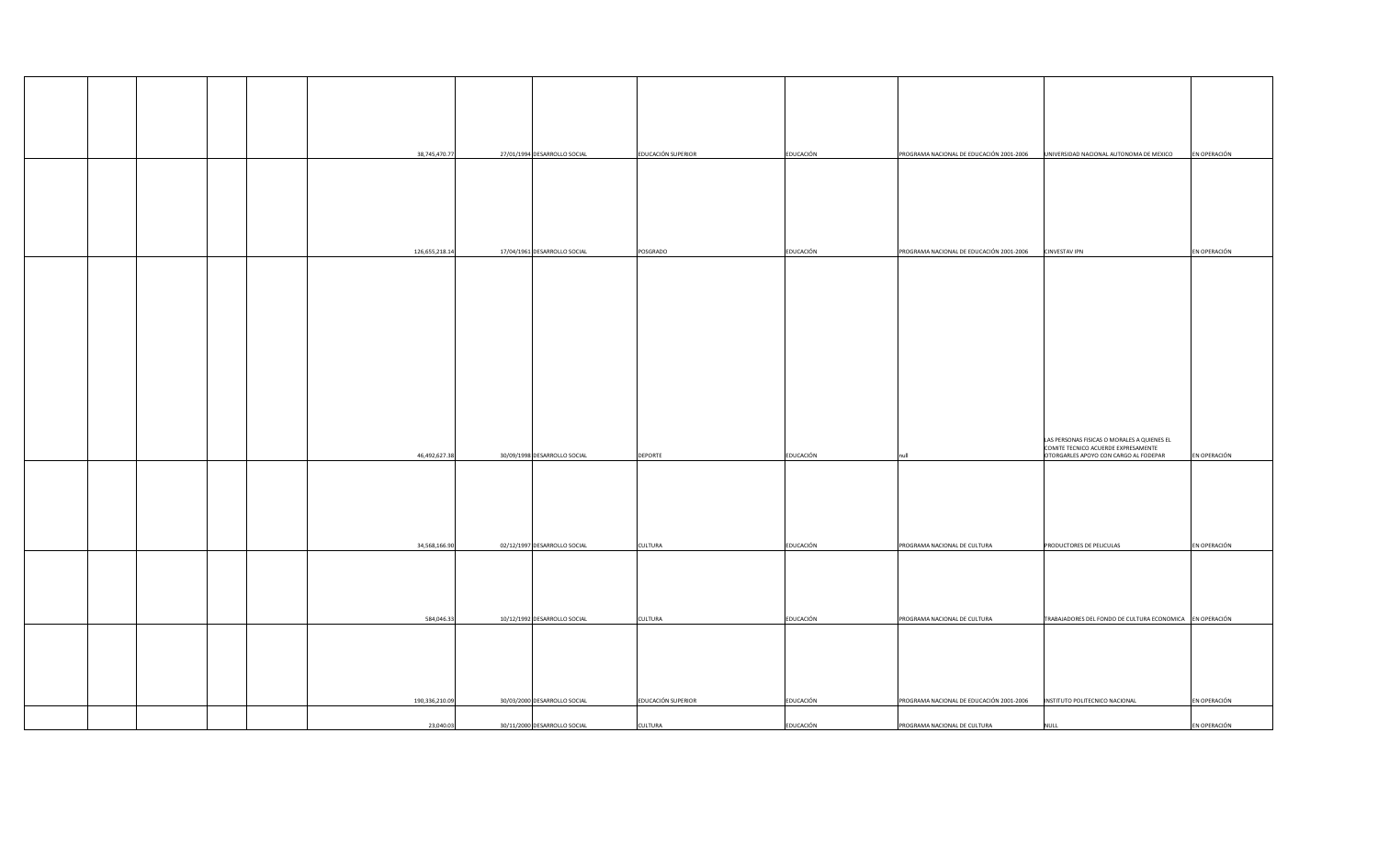|  | 38,745,470.77  | 27/01/1994 DESARROLLO SOCIAL | <b>EDUCACIÓN SUPERIOR</b> | EDUCACIÓN        | PROGRAMA NACIONAL DE EDUCACIÓN 2001-2006 | UNIVERSIDAD NACIONAL AUTONOMA DE MEXICO                                                                                     | EN OPERACIÓN |
|--|----------------|------------------------------|---------------------------|------------------|------------------------------------------|-----------------------------------------------------------------------------------------------------------------------------|--------------|
|  | 126,655,218.14 | 17/04/1961 DESARROLLO SOCIAL | POSGRADO                  | EDUCACIÓN        | PROGRAMA NACIONAL DE EDUCACIÓN 2001-2006 | <b>CINVESTAV IPN</b>                                                                                                        | EN OPERACIÓN |
|  |                |                              |                           |                  |                                          |                                                                                                                             |              |
|  |                |                              |                           |                  |                                          |                                                                                                                             |              |
|  | 46,492,627.38  | 30/09/1998 DESARROLLO SOCIAL | <b>DEPORTE</b>            | EDUCACIÓN        | null                                     | LAS PERSONAS FISICAS O MORALES A QUIENES EL<br>COMITE TECNICO ACUERDE EXPRESAMENTE<br>OTORGARLES APOYO CON CARGO AL FODEPAR | EN OPERACIÓN |
|  |                |                              |                           |                  |                                          |                                                                                                                             | EN OPERACIÓN |
|  | 34,568,166.90  | 02/12/1997 DESARROLLO SOCIAL | <b>CULTURA</b>            | EDUCACIÓN        | PROGRAMA NACIONAL DE CULTURA             | <b>PRODUCTORES DE PELICULAS</b>                                                                                             |              |
|  | 584,046.33     | 10/12/1992 DESARROLLO SOCIAL | <b>CULTURA</b>            | EDUCACIÓN        | PROGRAMA NACIONAL DE CULTURA             | TRABAJADORES DEL FONDO DE CULTURA ECONOMICA EN OPERACIÓN                                                                    |              |
|  | 190,336,210.09 | 30/03/2000 DESARROLLO SOCIAL | EDUCACIÓN SUPERIOR        | EDUCACIÓN        | PROGRAMA NACIONAL DE EDUCACIÓN 2001-2006 | INSTITUTO POLITECNICO NACIONAL                                                                                              | EN OPERACIÓN |
|  | 23,040.03      | 30/11/2000 DESARROLLO SOCIAL | <b>CULTURA</b>            | <b>EDUCACIÓN</b> | PROGRAMA NACIONAL DE CULTURA             | <b>NULL</b>                                                                                                                 | EN OPERACIÓN |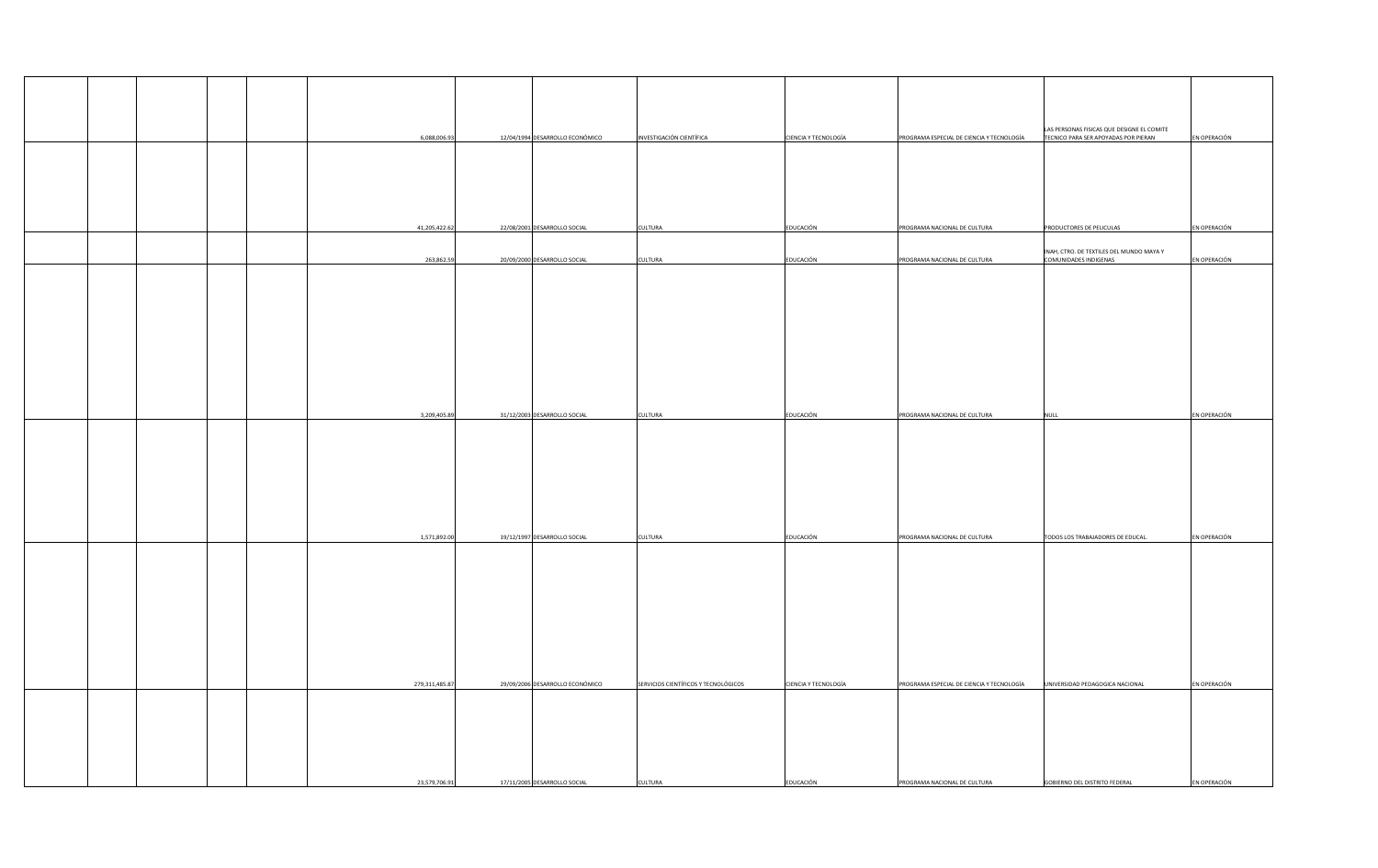|  |  | 6,088,006.93   | 12/04/1994 DESARROLLO ECONÓMICO | <b>INVESTIGACIÓN CIENTÍFICA</b>      | <b>CIENCIA Y TECNOLOGÍA</b> | PROGRAMA ESPECIAL DE CIENCIA Y TECNOLOGÍA | LAS PERSONAS FISICAS QUE DESIGNE EL COMITE<br>TECNICO PARA SER APOYADAS POR PIERAN | EN OPERACIÓN |
|--|--|----------------|---------------------------------|--------------------------------------|-----------------------------|-------------------------------------------|------------------------------------------------------------------------------------|--------------|
|  |  |                |                                 |                                      |                             |                                           |                                                                                    |              |
|  |  |                |                                 |                                      |                             |                                           |                                                                                    |              |
|  |  |                |                                 |                                      |                             |                                           |                                                                                    |              |
|  |  |                |                                 |                                      |                             |                                           |                                                                                    |              |
|  |  | 41,205,422.62  | 22/08/2001 DESARROLLO SOCIAL    | <b>CULTURA</b>                       | EDUCACIÓN                   | PROGRAMA NACIONAL DE CULTURA              | <b>PRODUCTORES DE PELICULAS</b>                                                    | EN OPERACIÓN |
|  |  |                |                                 |                                      |                             |                                           | INAH, CTRO. DE TEXTILES DEL MUNDO MAYA Y                                           |              |
|  |  | 263,862.59     | 20/09/2000 DESARROLLO SOCIAL    | <b>CULTURA</b>                       | EDUCACIÓN                   | PROGRAMA NACIONAL DE CULTURA              | COMUNIDADES INDIGENAS                                                              | EN OPERACIÓN |
|  |  |                |                                 |                                      |                             |                                           |                                                                                    |              |
|  |  |                |                                 |                                      |                             |                                           |                                                                                    |              |
|  |  |                |                                 |                                      |                             |                                           |                                                                                    |              |
|  |  |                |                                 |                                      |                             |                                           |                                                                                    |              |
|  |  |                |                                 |                                      |                             |                                           |                                                                                    |              |
|  |  |                |                                 |                                      |                             |                                           |                                                                                    |              |
|  |  |                |                                 |                                      |                             |                                           |                                                                                    |              |
|  |  | 3,209,405.89   | 31/12/2003 DESARROLLO SOCIAL    | <b>CULTURA</b>                       | EDUCACIÓN                   | PROGRAMA NACIONAL DE CULTURA              | <b>NULL</b>                                                                        | EN OPERACIÓN |
|  |  |                |                                 |                                      |                             |                                           |                                                                                    |              |
|  |  |                |                                 |                                      |                             |                                           |                                                                                    |              |
|  |  |                |                                 |                                      |                             |                                           |                                                                                    |              |
|  |  |                |                                 |                                      |                             |                                           |                                                                                    |              |
|  |  |                |                                 |                                      |                             |                                           |                                                                                    |              |
|  |  | 1,571,892.00   | 19/12/1997 DESARROLLO SOCIAL    | <b>CULTURA</b>                       | EDUCACIÓN                   | PROGRAMA NACIONAL DE CULTURA              | TODOS LOS TRABAJADORES DE EDUCAL.                                                  | EN OPERACIÓN |
|  |  |                |                                 |                                      |                             |                                           |                                                                                    |              |
|  |  |                |                                 |                                      |                             |                                           |                                                                                    |              |
|  |  |                |                                 |                                      |                             |                                           |                                                                                    |              |
|  |  |                |                                 |                                      |                             |                                           |                                                                                    |              |
|  |  |                |                                 |                                      |                             |                                           |                                                                                    |              |
|  |  |                |                                 |                                      |                             |                                           |                                                                                    |              |
|  |  | 279,311,485.87 | 29/09/2006 DESARROLLO ECONÓMICO | SERVICIOS CIENTÍFICOS Y TECNOLÓGICOS | <b>CIENCIA Y TECNOLOGÍA</b> | PROGRAMA ESPECIAL DE CIENCIA Y TECNOLOGÍA | UNIVERSIDAD PEDAGOGICA NACIONAL                                                    | EN OPERACIÓN |
|  |  |                |                                 |                                      |                             |                                           |                                                                                    |              |
|  |  |                |                                 |                                      |                             |                                           |                                                                                    |              |
|  |  |                |                                 |                                      |                             |                                           |                                                                                    |              |
|  |  |                |                                 |                                      |                             |                                           |                                                                                    |              |
|  |  | 23,579,706.91  | 17/11/2005 DESARROLLO SOCIAL    | <b>CULTURA</b>                       | EDUCACIÓN                   | PROGRAMA NACIONAL DE CULTURA              | <b>GOBIERNO DEL DISTRITO FEDERAL</b>                                               | EN OPERACIÓN |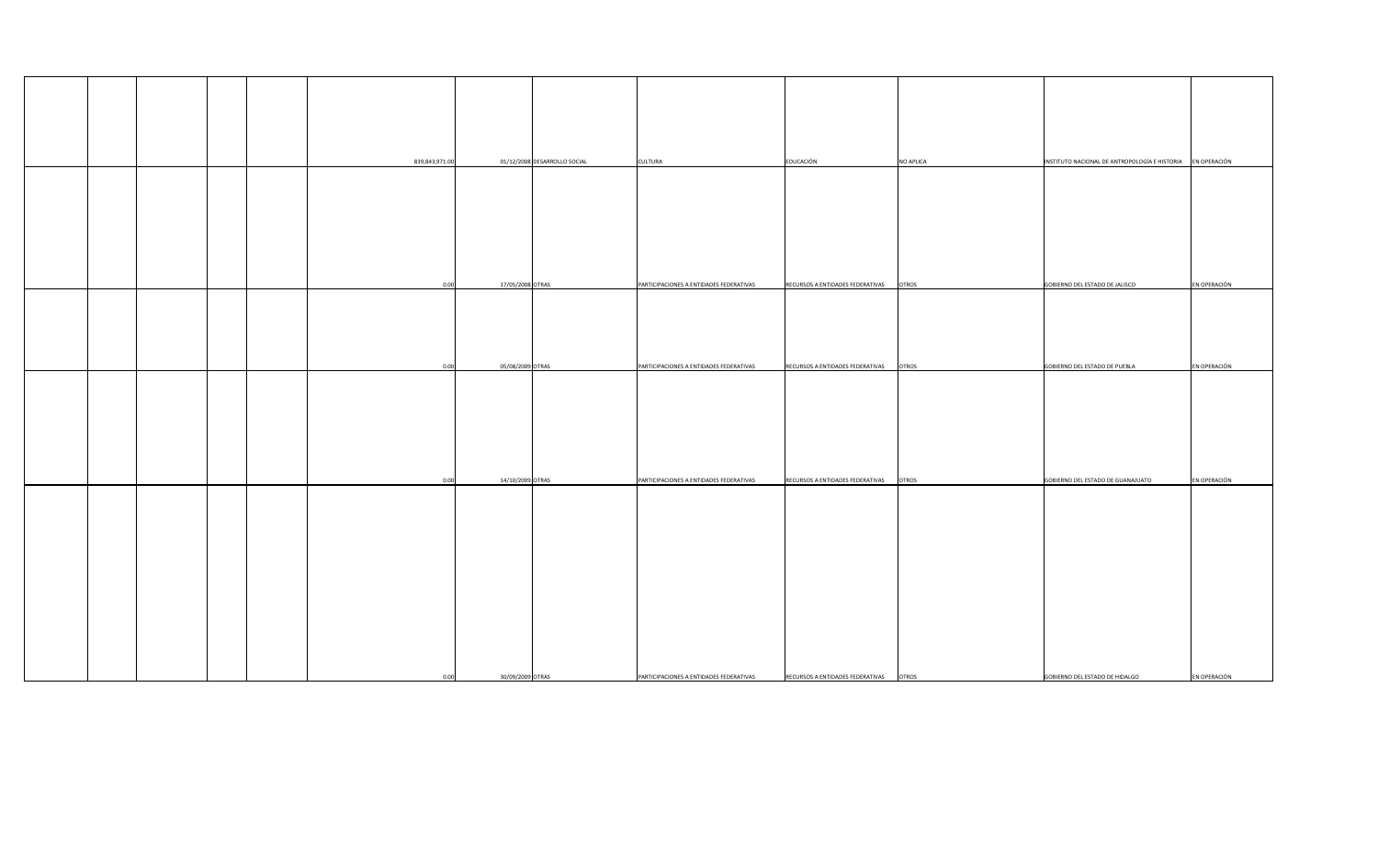|  |  |                |                              |                                         |                                  | <b>NO APLICA</b> | INSTITUTO NACIONAL DE ANTROPOLOGÍA E HISTORIA EN OPERACIÓN |              |
|--|--|----------------|------------------------------|-----------------------------------------|----------------------------------|------------------|------------------------------------------------------------|--------------|
|  |  | 839,843,971.00 | 01/12/2008 DESARROLLO SOCIAL | <b>CULTURA</b>                          | EDUCACIÓN                        |                  |                                                            |              |
|  |  |                |                              |                                         |                                  |                  |                                                            |              |
|  |  |                |                              |                                         |                                  |                  |                                                            |              |
|  |  |                |                              |                                         |                                  |                  |                                                            |              |
|  |  |                |                              |                                         |                                  |                  |                                                            |              |
|  |  |                |                              |                                         |                                  |                  |                                                            |              |
|  |  |                |                              |                                         |                                  |                  |                                                            |              |
|  |  |                |                              |                                         |                                  |                  |                                                            |              |
|  |  | 0.00           | 17/05/2008 OTRAS             | PARTICIPACIONES A ENTIDADES FEDERATIVAS | RECURSOS A ENTIDADES FEDERATIVAS | <b>OTROS</b>     | GOBIERNO DEL ESTADO DE JALISCO                             | EN OPERACIÓN |
|  |  |                |                              |                                         |                                  |                  |                                                            |              |
|  |  |                |                              |                                         |                                  |                  |                                                            |              |
|  |  |                |                              |                                         |                                  |                  |                                                            |              |
|  |  |                |                              |                                         |                                  |                  |                                                            |              |
|  |  |                |                              |                                         |                                  |                  |                                                            |              |
|  |  | 0.00           | 05/08/2009 OTRAS             | PARTICIPACIONES A ENTIDADES FEDERATIVAS | RECURSOS A ENTIDADES FEDERATIVAS | <b>OTROS</b>     | GOBIERNO DEL ESTADO DE PUEBLA                              | EN OPERACIÓN |
|  |  |                |                              |                                         |                                  |                  |                                                            |              |
|  |  |                |                              |                                         |                                  |                  |                                                            |              |
|  |  |                |                              |                                         |                                  |                  |                                                            |              |
|  |  |                |                              |                                         |                                  |                  |                                                            |              |
|  |  |                |                              |                                         |                                  |                  |                                                            |              |
|  |  |                |                              |                                         |                                  |                  |                                                            |              |
|  |  |                |                              |                                         |                                  |                  |                                                            |              |
|  |  | 0.00           | 14/10/2009 OTRAS             | PARTICIPACIONES A ENTIDADES FEDERATIVAS | RECURSOS A ENTIDADES FEDERATIVAS | <b>OTROS</b>     | GOBIERNO DEL ESTADO DE GUANAJUATO                          | EN OPERACIÓN |
|  |  |                |                              |                                         |                                  |                  |                                                            |              |
|  |  |                |                              |                                         |                                  |                  |                                                            |              |
|  |  |                |                              |                                         |                                  |                  |                                                            |              |
|  |  |                |                              |                                         |                                  |                  |                                                            |              |
|  |  |                |                              |                                         |                                  |                  |                                                            |              |
|  |  |                |                              |                                         |                                  |                  |                                                            |              |
|  |  |                |                              |                                         |                                  |                  |                                                            |              |
|  |  |                |                              |                                         |                                  |                  |                                                            |              |
|  |  |                |                              |                                         |                                  |                  |                                                            |              |
|  |  |                |                              |                                         |                                  |                  |                                                            |              |
|  |  |                |                              |                                         |                                  |                  |                                                            |              |
|  |  |                |                              |                                         |                                  |                  |                                                            |              |
|  |  |                |                              |                                         |                                  |                  |                                                            |              |
|  |  | 0.00           | 30/09/2009 OTRAS             | PARTICIPACIONES A ENTIDADES FEDERATIVAS | RECURSOS A ENTIDADES FEDERATIVAS | <b>OTROS</b>     | GOBIERNO DEL ESTADO DE HIDALGO                             | EN OPERACIÓN |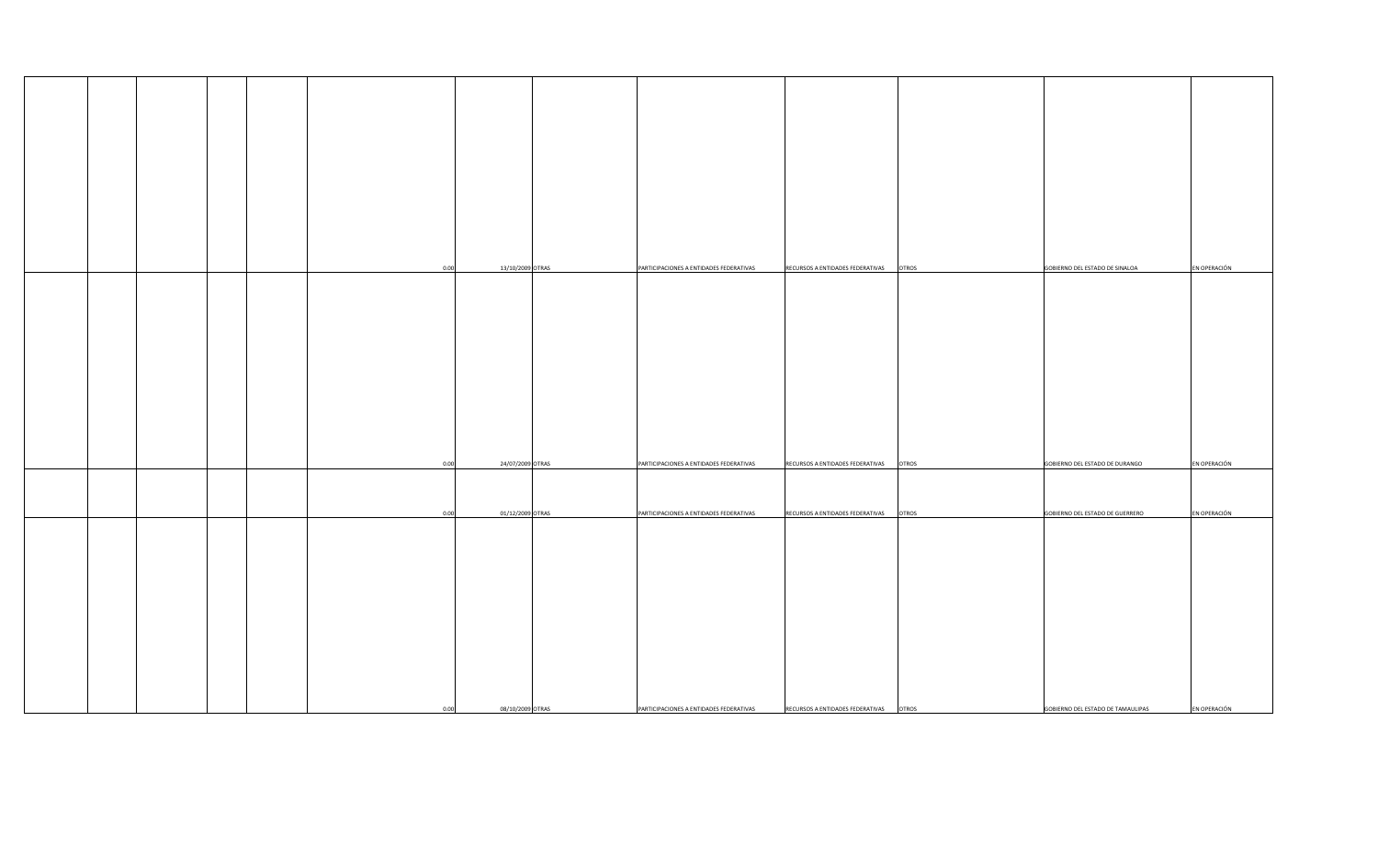| 0.00 | 13/10/2009 OTRAS | PARTICIPACIONES A ENTIDADES FEDERATIVAS | RECURSOS A ENTIDADES FEDERATIVAS<br><b>OTROS</b> | GOBIERNO DEL ESTADO DE SINALOA    | EN OPERACIÓN |
|------|------------------|-----------------------------------------|--------------------------------------------------|-----------------------------------|--------------|
|      |                  |                                         |                                                  |                                   |              |
|      |                  |                                         |                                                  |                                   |              |
|      |                  |                                         |                                                  |                                   |              |
|      |                  |                                         |                                                  |                                   |              |
|      |                  |                                         |                                                  |                                   |              |
|      |                  |                                         |                                                  |                                   |              |
|      |                  |                                         |                                                  |                                   |              |
|      |                  |                                         |                                                  |                                   |              |
|      |                  |                                         |                                                  |                                   |              |
|      |                  |                                         |                                                  |                                   |              |
|      |                  |                                         |                                                  |                                   |              |
|      |                  |                                         |                                                  |                                   |              |
|      |                  |                                         |                                                  |                                   |              |
|      |                  |                                         |                                                  |                                   |              |
|      |                  |                                         |                                                  |                                   |              |
|      |                  |                                         |                                                  |                                   |              |
|      |                  |                                         |                                                  |                                   |              |
|      |                  |                                         |                                                  |                                   |              |
|      |                  |                                         |                                                  |                                   |              |
| 0.00 | 24/07/2009 OTRAS | PARTICIPACIONES A ENTIDADES FEDERATIVAS | RECURSOS A ENTIDADES FEDERATIVAS<br><b>OTROS</b> | GOBIERNO DEL ESTADO DE DURANGO    | EN OPERACIÓN |
|      |                  |                                         |                                                  |                                   |              |
|      |                  |                                         |                                                  |                                   |              |
|      |                  |                                         |                                                  |                                   |              |
|      |                  |                                         |                                                  |                                   |              |
| 0.00 | 01/12/2009 OTRAS | PARTICIPACIONES A ENTIDADES FEDERATIVAS | <b>OTROS</b><br>RECURSOS A ENTIDADES FEDERATIVAS | GOBIERNO DEL ESTADO DE GUERRERO   | EN OPERACIÓN |
|      |                  |                                         |                                                  |                                   |              |
|      |                  |                                         |                                                  |                                   |              |
|      |                  |                                         |                                                  |                                   |              |
|      |                  |                                         |                                                  |                                   |              |
|      |                  |                                         |                                                  |                                   |              |
|      |                  |                                         |                                                  |                                   |              |
|      |                  |                                         |                                                  |                                   |              |
|      |                  |                                         |                                                  |                                   |              |
|      |                  |                                         |                                                  |                                   |              |
|      |                  |                                         |                                                  |                                   |              |
|      |                  |                                         |                                                  |                                   |              |
|      |                  |                                         |                                                  |                                   |              |
|      |                  |                                         |                                                  |                                   |              |
|      |                  |                                         |                                                  |                                   |              |
|      |                  |                                         |                                                  |                                   |              |
|      |                  |                                         |                                                  |                                   |              |
|      |                  |                                         |                                                  |                                   |              |
|      |                  |                                         |                                                  |                                   |              |
|      |                  |                                         |                                                  |                                   |              |
| 0.00 | 08/10/2009 OTRAS | PARTICIPACIONES A ENTIDADES FEDERATIVAS | RECURSOS A ENTIDADES FEDERATIVAS<br><b>OTROS</b> | GOBIERNO DEL ESTADO DE TAMAULIPAS | EN OPERACIÓN |